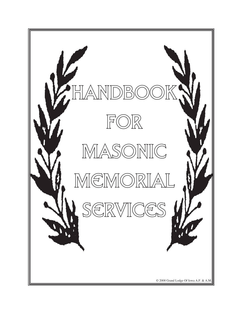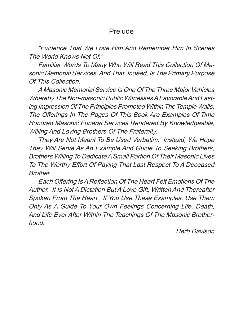# Prelude

"Evidence That We Love Him And Remember Him In Scenes The World Knows Not Of."

Familiar Words To Many Who Will Read This Collection Of Masonic Memorial Services, And That, Indeed, Is The Primary Purpose Of This Collection.

A Masonic Memorial Service Is One Of The Three Major Vehicles Whereby The Non-masonic Public Witnesses A Favorable And Lasting Impression Of The Principles Promoted Within The Temple Walls. The Offerings In The Pages Of This Book Are Examples Of Time Honored Masonic Funeral Services Rendered By Knowledgeable, Willing And Loving Brothers Of The Fraternity.

They Are Not Meant To Be Used Verbatim. Instead, We Hope They Will Serve As An Example And Guide To Seeking Brothers, Brothers Willing To Dedicate A Small Portion Of Their Masonic Lives To The Worthy Effort Of Paying That Last Respect To A Deceased **Brother.** 

 Each Offering IsA Reflection Of The Heart Felt Emotions Of The Author. It Is Not A Dictation But A Love Gift, Written And Thereafter Spoken From The Heart. If You Use These Examples, Use Them Only As A Guide To Your Own Feelings Concerning Life, Death, And Life Ever After Within The Teachings Of The Masonic Brotherhood.

Herb Davison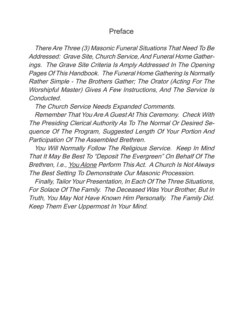# Preface

There Are Three (3) Masonic Funeral Situations That Need To Be Addressed: Grave Site, Church Service, And Funeral Home Gatherings. The Grave Site Criteria Is Amply Addressed In The Opening Pages Of This Handbook. The Funeral Home Gathering Is Normally Rather Simple - The Brothers Gather; The Orator (Acting For The Worshipful Master) Gives A Few Instructions, And The Service Is Conducted.

The Church Service Needs Expanded Comments.

Remember That You Are A Guest At This Ceremony. Check With The Presiding Clerical Authority As To The Normal Or Desired Sequence Of The Program, Suggested Length Of Your Portion And Participation Of The Assembled Brethren.

You Will Normally Follow The Religious Service. Keep In Mind That It May Be Best To "Deposit The Evergreen" On Behalf Of The Brethren, I.e., You Alone Perform This Act. A Church Is Not Always The Best Setting To Demonstrate Our Masonic Procession.

Finally, Tailor Your Presentation, In Each Of The Three Situations, For Solace Of The Family. The Deceased Was Your Brother, But In Truth, You May Not Have Known Him Personally. The Family Did. Keep Them Ever Uppermost In Your Mind.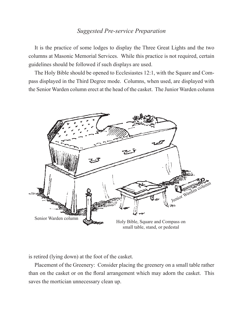## *Suggested Pre-service Preparation*

It is the practice of some lodges to display the Three Great Lights and the two columns at Masonic Memorial Services. While this practice is not required, certain guidelines should be followed if such displays are used.

The Holy Bible should be opened to Ecclesiastes 12:1, with the Square and Compass displayed in the Third Degree mode. Columns, when used, are displayed with the Senior Warden column erect at the head of the casket. The Junior Warden column



is retired (lying down) at the foot of the casket.

Placement of the Greenery: Consider placing the greenery on a small table rather than on the casket or on the floral arrangement which may adorn the casket. This saves the mortician unnecessary clean up.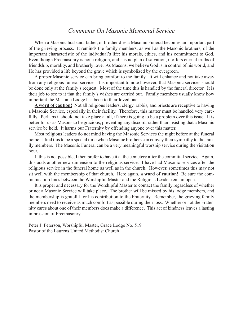## *Comments On Masonic Memorial Service*

When a Masonic husband, father, or brother dies a Masonic Funeral becomes an important part of the grieving process. It reminds the family members, as well as the Masonic brothers, of the important characteristic of the individual's life; his morals, ethics, and his commitment to God. Even though Freemasonry is not a religion, and has no plan of salvation, it offers eternal truths of friendship, morality, and brotherly love. As Masons, we believe God is in control of his world, and He has provided a life beyond the grave which is symbolized by the evergreen.

A proper Masonic service can bring comfort to the family. It will enhance and not take away from any religious funeral service. It is important to note however, that Masonic services should be done only at the family's request. Most of the time this is handled by the funeral director. It is their job to see to it that the family's wishes are carried out. Family members usually know how important the Masonic Lodge has been to their loved one.

**A word of caution!** Not all religious leaders, clergy, rabbis, and priests are receptive to having a Masonic Service, especially in their facility. Therefore, this matter must be handled very carefully. Perhaps it should not take place at all, if there is going to be a problem over this issue. It is better for us as Masons to be gracious, preventing any discord, rather than insisting that a Masonic service be held. It harms our Fraternity by offending anyone over this matter.

Most religious leaders do not mind having the Masonic Services the night before at the funeral home. I find this to be a special time when Masonic brothers can convey their sympathy to the family members. The Masonic Funeral can be a very meaningful worship service during the visitation hour.

If this is not possible, I then prefer to have it at the cemetery after the committal service. Again, this adds another new dimension to the religious service. I have had Masonic services after the religious service in the funeral home as well as in the church. However, sometimes this may not sit well with the membership of that church. Here again, **a word of caution!** Be sure the communication lines between the Worshipful Master and the Religious Leader remain open.

It is proper and necessary for the Worshipful Master to contact the family regardless of whether or not a Masonic Service will take place. The brother will be missed by his lodge members, and the membership is grateful for his contribution to the Fraternity. Remember, the grieving family members need to receive as much comfort as possible during their loss. Whether or not the Fraternity cares about one of their members does make a difference. This act of kindness leaves a lasting impression of Freemasonry.

Peter J. Peterson, Worshipful Master, Grace Lodge No. 519 Pastor of the Laurens United Methodist Church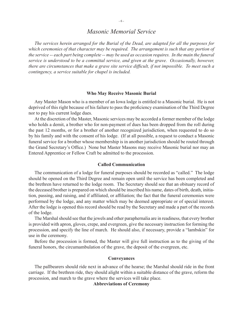## *Masonic Memorial Service*

*The services herein arranged for the Burial of the Dead, are adapted for all the purposes for which ceremonies of that character may be required. The arrangement is such that any portion of the service -- each part being complete -- may be used as occasion requires. In the main the funeral service is understood to be a committal service, and given at the grave. Occasionally, however, there are circumstances that make a grave site service difficult, if not impossible. To meet such a contingency, a service suitable for chapel is included.*

#### **Who May Receive Masonic Burial**

Any Master Mason who is a member of an Iowa lodge is entitled to a Masonic burial. He is not deprived of this right because of his failure to pass the proficiency examination of the Third Degree nor to pay his current lodge dues.

At the discretion of the Master, Masonic services may be accorded a former member of the lodge who holds a demit, a brother who for non-payment of dues has been dropped from the roll during the past 12 months, or for a brother of another recognized jurisdiction, when requested to do so by his family and with the consent of his lodge. (If at all possible, a request to conduct a Masonic funeral service for a brother whose membership is in another jurisdiction should be routed through the Grand Secretary's Office.) None but Master Masons may receive Masonic burial nor may an Entered Apprentice or Fellow Craft be admitted to the procession.

#### **Called Communication**

The communication of a lodge for funeral purposes should be recorded as "called." The lodge should be opened on the Third Degree and remain open until the service has been completed and the brethren have returned to the lodge room. The Secretary should see that an obituary record of the deceased brother is prepared on which should be inscribed his name, dates of birth, death, initiation, passing, and raising, and if affiliated, or affiliation; the fact that the funeral ceremonies were performed by the lodge, and any matter which may be deemed appropriate or of special interest. After the lodge is opened this record should be read by the Secretary and made a part of the records of the lodge.

The Marshal should see that the jewels and other paraphernalia are in readiness, that every brother is provided with apron, gloves, crepe, and evergreen, give the necessary instruction for forming the procession, and specify the line of march. He should also, if necessary, provide a "lambskin" for use in the ceremony.

Before the procession is formed, the Master will give full instruction as to the giving of the funeral honors, the circumambulation of the grave, the deposit of the evergreen, etc.

#### **Conveyances**

The pallbearers should ride next in advance of the hearse; the Marshal should ride in the front carriage. If the brethren ride, they should alight within a suitable distance of the grave, reform the procession, and march to the grave where the services will take place.

#### **Abbreviations of Ceremony**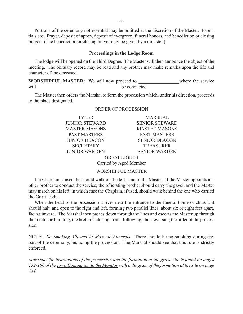Portions of the ceremony not essential may be omitted at the discretion of the Master. Essentials are: Prayer, deposit of apron, deposit of evergreen, funeral honors, and benediction or closing prayer. (The benediction or closing prayer may be given by a minister.)

#### **Proceedings in the Lodge Room**

The lodge will be opened on the Third Degree. The Master will then announce the object of the meeting. The obituary record may be read and any brother may make remarks upon the life and character of the deceased.

**WORSHIPFUL MASTER:** We will now proceed to where the service will be conducted.

The Master then orders the Marshal to form the procession which, under his direction, proceeds to the place designated.

## TYLER MARSHAL JUNIOR STEWARD SENIOR STEWARD MASTER MASONS MASTER MASONS PAST MASTERS PAST MASTERS JUNIOR DEACON SENIOR DEACON SECRETARY TREASURER JUNIOR WARDEN SENIOR WARDEN

#### ORDER OF PROCESSION

GREAT LIGHTS Carried by Aged Member

#### WORSHIPFUL MASTER

If a Chaplain is used, he should walk on the left hand of the Master. If the Master appoints another brother to conduct the service, the officiating brother should carry the gavel, and the Master may march on his left, in which case the Chaplain, if used, should walk behind the one who carried the Great Lights.

When the head of the procession arrives near the entrance to the funeral home or church, it should halt, and open to the right and left, forming two parallel lines, about six or eight feet apart, facing inward. The Marshal then passes down through the lines and escorts the Master up through them into the building, the brethren closing in and following, thus reversing the order of the procession.

NOTE: *No Smoking Allowed At Masonic Funerals.* There should be no smoking during any part of the ceremony, including the procession. The Marshal should see that this rule is strictly enforced.

*More specific instructions of the procession and the formation at the grave site is found on pages 152-160 of the Iowa Companion to the Monitor with a diagram of the formation at the site on page 184.*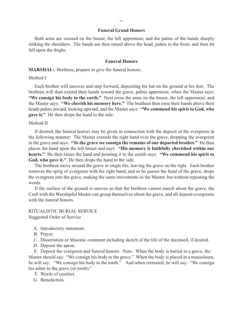#### **Funeral Grand Honors**

Both arms are crossed on the breast, the left uppermost, and the palms of the hands sharply striking the shoulders. The hands are then raised above the head, palms to the front, and then let fall upon the thighs.

#### **Funeral Honors**

**MARSHAL:** Brethren, prepare to give the funeral honors.

Method I

Each brother will uncover and step forward, depositing his hat on the ground at his feet. The brethren will then extend their hands toward the grave, palms uppermost, when the Master says: **"We consign his body to the earth."** Next cross the arms on the breast, the left uppermost, and the Master says: **"We cherish his memory here."** The brethren then raise their hands above their heads palms inward, looking upward, and the Master says: **"We commend his spirit to God, who gave it."** He then drops the hand to the side.

Method II

If desired, the funeral honors may be given in connection with the deposit of the evergreen in the following manner: The Master extends the right hand over the grave, dropping the evergreen in the grave and says: **"To the grave we consign the remains of our departed brother."** He then places the hand upon the left breast and says: **"His memory is faithfully cherished within our hearts."** He then raises the hand and pointing it to the zenith says: **"We commend his spirit to God, who gave it."** He then drops the hand to the side.

The brethren move around the grave in single file, leaving the grave on the right. Each brother removes the sprig of evergreen with his right hand, and as he passes the head of the grave, drops the evergreen into the grave, making the same movements as the Master, but without repeating the words.

If the surface of the ground is uneven so that the brethren cannot march about the grave, the Craft with the Worshipful Master can group themselves about the grave, and all deposit evergreens with the funeral honors.

RITUALISTIC BURIAL SERVICE Suggested Order of Service

- A. Introductory statement.
- B. Prayer.
- C. Dissertation or Masonic comment including sketch of the life of the deceased, if desired.
- D. Deposit the apron.

E. Deposit the evergreen and funeral honors. Note: When the body is buried in a grave, the Master should say: "We consign his body to the grave." When the body is placed in a mausoleum, he will say: "We consign his body to the tomb." And when cremated, he will say: "We consign his ashes to the grave (or tomb)."

- F. Words of comfort.
- G. Benediction.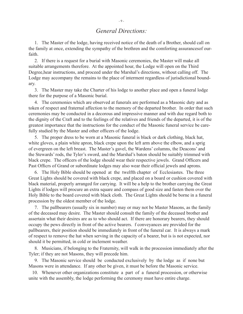## *General Directions:*

 1. The Master of the lodge, having received notice of the death of a Brother, should call on the family at once, extending the sympathy of the brethren and the comforting assurancesof ourfaith.

 2. If there is a request for a burial with Masonic ceremonies, the Master will make all suitable arrangements therefore. At the appointed hour, the Lodge will open on the Third Degree,hear instructions, and proceed under the Marshal's directions, without calling off. The Lodge may accompany the remains to the place of interment regardless of jurisdictional boundary.

 3. The Master may take the Charter of his lodge to another place and open a funeral lodge there for the purpose of a Masonic burial.

 4. The ceremonies which are observed at funerals are performed as a Masonic duty and as token of respect and fraternal affection to the memory of the departed brother. In order that such ceremonies may be conducted in a decorous and impressive manner and with due regard both to the dignity of the Craft and to the feelings of the relatives and friends of the departed, it is of the greatest importance that the instructions for the conduct of the Masonic funeral service be carefully studied by the Master and other officers of the lodge.

 5. The proper dress to be worn at a Masonic funeral is black or dark clothing, black hat, white gloves, a plain white apron, black crepe upon the left arm above the elbow, and a sprig of evergreen on the left breast. The Master's gavel, the Wardens' columns, the Deacons' and the Stewards' rods, the Tyler's sword, and the Marshal's baton should be suitably trimmed with black crepe. The officers of the lodge should wear their respective jewels. Grand Officers and Past Officrs of Grand or subordinate lodges may also wear their official jewels and aprons.

 6. The Holy Bible should be opened at the twelfth chapter of Ecclesiastes. The three Great Lights should be covered with black crepe, and placed on a board or cushion covered with black material, properly arranged for carrying. It will be a help to the brother carrying the Great Lights if lodges will procure an extra square and compass of good size and fasten them over the Holy Bible to the board covered with black cloth. The Great Lights should be borne in a funeral procession by the oldest member of the lodge.

7. The pallbearers (usually six in number) may or may not be Master Masons, as the family of the deceased may desire. The Master should consult the family of the deceased brother and assertain what their desires are as to who should act. If there are honorary bearers, they should occupy the pews directly in front of the active bearers. f conveyances are provided for the pallbearers, their position should be immediately in front of the funeral car. It is always a mark of respect to remove the hat when serving in the capacity of a bearer, but is is not expected, nor should it be permitted, in cold or inclement weather.

 8. Musicians, if belonging to the Fraternity, will walk in the procession immediately after the Tyler; if they are not Masons, they will precede him.

9. The Masonic service should be conducted exclusively by the lodge as if none but Masons were in attendance. If any other be given, it must be before the Masonic service.

 10. Whenever other organizations constitute a part of a funeral procession, or otherwise unite with the assembly, the lodge performing the ceremony must have entire charge.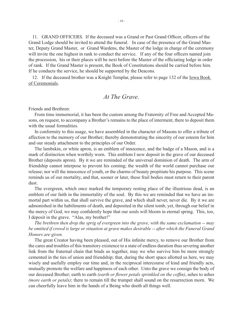11. GRAND OFFICERS. If the deceased was a Grand or Past Grand Officer, officers of the Grand Lodge should be invited to attend the funeral. In case of the presence of the Grand Master, Deputy Grand Master, or Grand Wardens, the Master of the lodge in charge of the ceremony will invite the one highest in rank to conduct the service. If any of the four officers named join the procession, his or their places will be next before the Master of the officiating lodge in order of rank. If the Grand Master is present, the Book of Constitutions should be carried before him. If he conducts the service, he should be supported by the Deacons.

12. If the deceased brother was a Knight Templar, please refer to page 132 of the <u>Iowa Book</u> of Ceremonials.

## *At The Grave.*

Friends and Brethren:

From time immemorial, it has been the custom among the Fraternity of Free and Accepted Masons, on request, to accompany a Brother's remains to the place of interment, there to deposit them with the usual formalities.

In conformity to this usage, we have assembled in the character of Masons to offer a tribute of affection to the memory of our Brother; thereby demonstrating the sincerity of our esteem for him and our steady attachment to the principles of our Order.

The lambskin, or white apron, is an emblem of innocence, and the badge of a Mason, and is a mark of distinction when worthily worn. This emblem I now deposit in the grave of our deceased Brother (deposits apron). By it we are reminded of the universal dominion of death. The arm of friendship cannot interpose to prevent his coming; the wealth of the world cannot purchase our release; nor will the innocence of youth, or the charms of beauty propitiate his purpose. This scene reminds us of our mortality, and that, sooner or later, these frail bodies must return to their parent dust.

The evergreen, which once marked the temporary resting place of the illustrious dead, is an emblem of our faith in the immortality of the soul. By this we are reminded that we have an immortal part within us, that shall survive the grave, and which shall never, never die. By it we are admonished in the habiliments of death, and deposited in the silent tomb, yet, through our belief in the mercy of God, we may confidently hope that our souls will bloom in eternal spring. This, too, I deposit in the grave. "Alas, my brother!"

*The brethren then drop the sprig of evergreen into the grave, with the same exclamation -- may be omitted if crowd is large or situation at grave makes desirable -- after which the Funeral Grand Honors are given.*

The great Creator having been pleased, out of His infinite mercy, to remove our Brother from the cares and troubles of this transitory existence to a state of endless duration thus severing another link from the fraternal chain that binds us together, may we who survive him be more strongly cemented in the ties of union and friendship; that, during the short space allotted us here, we may wisely and usefully employ our time and, in the reciprocal intercourse of kind and friendly acts, mutually promote the welfare and happiness of each other. Unto the grave we consign the body of our deceased Brother; earth to earth *(earth or flower petals sprinkled on the coffin)*, ashes to ashes *(more earth or petals)*; there to remain till the trumpet shall sound on the resurrection morn. We can cheerfully leave him in the hands of a Being who doeth all things well.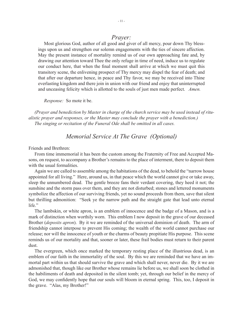## *Prayer:*

Most glorious God, author of all good and giver of all mercy, pour down Thy blessings upon us and strengthen our solemn engagements with the ties of sincere affection. May the present instance of mortality remind us of our own approaching fate and, by drawing our attention toward Thee the only refuge in time of need, induce us to regulate our conduct here, that when the final moment shall arrive at which we must quit this transitory scene, the enlivening prospect of Thy mercy may dispel the fear of death; and that after our departure hence, in peace and Thy favor, we may be received into Thine everlasting kingdom and there join in union with our friend and enjoy that uninterrupted and unceasing felicity which is allotted to the souls of just men made perfect. *Amen.*

*Response:* So mote it be.

*(Prayer and benediction by Master in charge of the church service may be used instead of ritualistic prayer and responses, or the Master may conclude the prayer with a benediction.) The singing or recitation of the Funeral Ode shall be omitted in all cases.*

## *Memorial Service At The Grave (Optional)*

#### Friends and Brethren:

From time immemorial it has been the custom among the Fraternity of Free and Accepted Masons, on request, to accompany a Brother's remains to the place of interment, there to deposit them with the usual formalities.

Again we are called to assemble among the habitations of the dead, to behold the "narrow house appointed for all living." Here, around us, in that peace which the world cannot give or take away, sleep the unnumbered dead. The gentle breeze fans their verdant covering, they heed it not; the sunshine and the storm pass over them, and they are not disturbed; stones and lettered monuments symbolize the affection of our surviving friends, yet no sound proceeds from them, save that silent but thrilling admonition: "Seek ye the narrow path and the straight gate that lead unto eternal life."

The lambskin, or white apron, is an emblem of innocence and the badge of a Mason, and is a mark of distinction when worthily worn. This emblem I now deposit in the grave of our deceased Brother (*deposits apron*). By it we are reminded of the universal dominion of death. The arm of friendship cannot interpose to prevent His coming; the wealth of the world cannot purchase our release; nor will the innocence of youth or the charms of beauty propitiate His purpose. This scene reminds us of our mortality and that, sooner or later, these frail bodies must return to their parent dust.

The evergreen, which once marked the temporary resting place of the illustrious dead, is an emblem of our faith in the immortality of the soul. By this we are reminded that we have an immortal part within us that should survive the grave and which shall never, never die. By it we are admonished that, though like our Brother whose remains lie before us, we shall soon be clothed in the habiliments of death and deposited in the silent tomb; yet, through our belief in the mercy of God, we may confidently hope that our souls will bloom in eternal spring. This, too, I deposit in the grave. "Alas, my Brother!"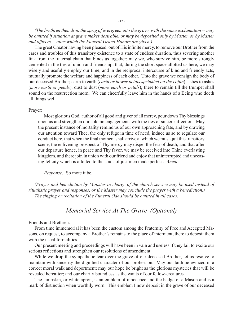*(The brethren then drop the sprig of evergreen into the grave, with the same exclamation -- may be omitted if situation at grave makes desirable, or may be deposited only by Master, or by Master and officers -- after which the Funeral Grand Honors are given.)*

The great Creator having been pleased, out of His infinite mercy, to remove our Brother from the cares and troubles of this transitory existence to a state of endless duration, thus severing another link from the fraternal chain that binds us together; may we, who survive him, be more strongly cemented in the ties of union and friendship; that, during the short space allotted us here, we may wisely and usefully employ our time; and in the reciprocal intercourse of kind and friendly acts, mutually promote the welfare and happiness of each other. Unto the grave we consign the body of our deceased Brother; earth to earth (*earth or flower petals sprinkled on the coffin*), ashes to ashes (*more earth or petals*), dust to dust (*more earth or petals*); there to remain till the trumpet shall sound on the resurrection morn. We can cheerfully leave him in the hands of a Being who doeth all things well.

#### Prayer:

Most glorious God, author of all good and giver of all mercy, pour down Thy blessings upon us and strengthen our solemn engagements with the ties of sincere affection. May the present instance of mortality remind us of our own approaching fate, and by drawing our attention toward Thee, the only refuge in time of need, induce us so to regulate our conduct here, that when the final moment shall arrive at which we must quit this transitory scene, the enlivening prospect of Thy mercy may dispel the fear of death; and that after our departure hence, in peace and Thy favor, we may be received into Thine everlasting kingdom, and there join in union with our friend and enjoy that uninterrupted and unceasing felicity which is allotted to the souls of just men made perfect. *Amen.*

*Response:* So mote it be.

*(Prayer and benediction by Minister in charge of the church service may be used instead of ritualistic prayer and responses, or the Master may conclude the prayer with a benediction.) The singing or recitation of the Funeral Ode should be omitted in all cases.*

## *Memorial Service At The Grave (Optional)*

Friends and Brethren:

From time immemorial it has been the custom among the Fraternity of Free and Accepted Masons, on request, to accompany a Brother's remains to the place of interment, there to deposit them with the usual formalities.

Our present meeting and proceedings will have been in vain and useless if they fail to excite our serious reflections and strengthen our resolutions of amendment.

While we drop the sympathetic tear over the grave of our deceased Brother, let us resolve to maintain with sincerity the dignified character of our profession. May our faith be evinced in a correct moral walk and deportment; may our hope be bright as the glorious mysteries that will be revealed hereafter; and our charity boundless as the wants of our fellow-creatures.

The lambskin, or white apron, is an emblem of innocence and the badge of a Mason and is a mark of distinction when worthily worn. This emblem I now deposit in the grave of our deceased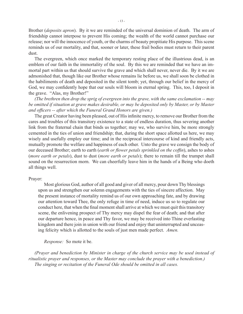Brother (*deposits apron*). By it we are reminded of the universal dominion of death. The arm of friendship cannot interpose to prevent His coming; the wealth of the world cannot purchase our release; nor will the innocence of youth, or the charms of beauty propitiate His purpose. This scene reminds us of our mortality, and that, sooner or later, these frail bodies must return to their parent dust.

The evergreen, which once marked the temporary resting place of the illustrious dead, is an emblem of our faith in the immortality of the soul. By this we are reminded that we have an immortal part within us that should survive the grave and which shall never, never die. By it we are admonished that, though like our Brother whose remains lie before us, we shall soon be clothed in the habiliments of death and deposited in the silent tomb; yet, through our belief in the mercy of God, we may confidently hope that our souls will bloom in eternal spring. This, too, I deposit in the grave. "Alas, my Brother!"

*(The brethren then drop the sprig of evergreen into the grave, with the same exclamation -- may be omitted if situation at grave makes desirable, or may be deposited only by Master, or by Master and officers -- after which the Funeral Grand Honors are given.)*

The great Creator having been pleased, out of His infinite mercy, to remove our Brother from the cares and troubles of this transitory existence to a state of endless duration, thus severing another link from the fraternal chain that binds us together; may we, who survive him, be more strongly cemented in the ties of union and friendship; that, during the short space allotted us here, we may wisely and usefully employ our time; and in the reciprocal intercourse of kind and friendly acts, mutually promote the welfare and happiness of each other. Unto the grave we consign the body of our deceased Brother; earth to earth (*earth or flower petals sprinkled on the coffin*), ashes to ashes (*more earth or petals*), dust to dust (*more earth or petals*); there to remain till the trumpet shall sound on the resurrection morn. We can cheerfully leave him in the hands of a Being who doeth all things well.

#### Prayer:

Most glorious God, author of all good and giver of all mercy, pour down Thy blessings upon us and strengthen our solemn engagements with the ties of sincere affection. May the present instance of mortality remind us of our own approaching fate, and by drawing our attention toward Thee, the only refuge in time of need, induce us so to regulate our conduct here, that when the final moment shall arrive at which we must quit this transitory scene, the enlivening prospect of Thy mercy may dispel the fear of death; and that after our departure hence, in peace and Thy favor, we may be received into Thine everlasting kingdom and there join in union with our friend and enjoy that uninterrupted and unceasing felicity which is allotted to the souls of just men made perfect. *Amen.*

*Response:* So mote it be.

*(Prayer and benediction by Minister in charge of the church service may be used instead of ritualistic prayer and responses, or the Master may conclude the prayer with a benediction.) The singing or recitation of the Funeral Ode should be omitted in all cases.*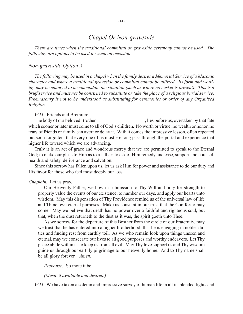## *Chapel Or Non-graveside*

*There are times when the traditional committal or graveside ceremony cannot be used. The following are options to be used for such an occasion.*

#### *Non-graveside Option A*

*The following may be used in a chapel when the family desires a Memorial Service of a Masonic character and where a traditional graveside or committal cannot be utilized. Its form and wording may be changed to accommodate the situation (such as where no casket is present). This is a brief service and must not be construed to substitute or take the place of a religious burial service. Freemasonry is not to be understood as substituting for ceremonies or order of any Organized Religion.*

#### *W.M.* Friends and Brethren:

The body of our beloved Brother \_\_\_\_\_\_\_\_\_\_\_\_\_\_\_\_\_, lies before us, overtaken by that fate which sooner or later must come to all of God's children. No worth or virtue, no wealth or honor, no tears of friends or family can avert or delay it. With it comes the impressive lesson, often repeated but soon forgotten, that every one of us must ere long pass through the portal and experience that higher life toward which we are advancing.

Truly it is an act of grace and wondrous mercy that we are permitted to speak to the Eternal God; to make our pleas to Him as to a father; to ask of Him remedy and ease, support and counsel, health and safety, deliverance and salvation.

Since this sorrow has fallen upon us, let us ask Him for power and assistance to do our duty and His favor for those who feel most deeply our loss.

#### *Chaplain.* Let us pray.

Our Heavenly Father, we bow in submission to Thy Will and pray for strength to properly value the events of our existence, to number our days, and apply our hearts unto wisdom. May this dispensation of Thy Providence remind us of the universal law of life and Thine own eternal purposes. Make us constant in our trust that the Comforter may come. May we believe that death has no power over a faithful and righteous soul, but that, when the dust returneth to the dust as it was, the spirit goeth unto Thee.

As we sorrow for the departure of this Brother from the circle of our Fraternity, may we trust that he has entered into a higher brotherhood; that he is engaging in nobler duties and finding rest from earthly toil. As we who remain look upon things unseen and eternal, may we consecrate our lives to all good purposes and worthy endeavors. Let Thy peace abide within us to keep us from all evil. May Thy love support us and Thy wisdom guide us through our earthly pilgrimage to our heavenly home. And to Thy name shall be all glory forever. *Amen.*

*Response:* So mote it be.

*(Music if available and desired.)*

*W.M.* We have taken a solemn and impressive survey of human life in all its blended lights and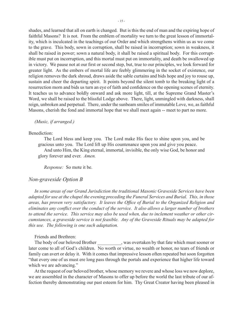shades, and learned that all on earth is changed. But is this the end of man and the expiring hope of faithful Masons? It is not. From the emblem of mortality we turn to the great lesson of immortality, which is inculcated in the teachings of our Order and which strengthens within us as we come to the grave. This body, sown in corruption, shall be raised in incorruption; sown in weakness, it shall be raised in power; sown a natural body, it shall be raised a spiritual body. For this corruptible must put on incorruption, and this mortal must put on immortality, and death be swallowed up in victory. We pause not at our first or second step, but, true to our principles, we look forward for greater light. As the embers of mortal life are feebly glimmering in the socket of existence, our religion removes the dark shroud, draws aside the sable curtains and bids hope and joy to rouse up, sustain and cheer the departing spirit. It points beyond the silent tomb to the breaking light of a resurrection morn and bids us turn an eye of faith and confidence on the opening scenes of eternity. It teaches us to advance boldly onward and ask more light, till, at the Supreme Grand Master's Word, we shall be raised to the blissful Lodge above. There, light, unmingled with darkness, shall reign, unbroken and perpetual. There, under the sunbeam smiles of immutable Love, we, as faithful Masons, cherish the fond and immortal hope that we shall meet again -- meet to part no more.

*(Music, if arranged.)*

#### Benediction:

The Lord bless and keep you. The Lord make His face to shine upon you, and be gracious unto you. The Lord lift up His countenance upon you and give you peace.

And unto Him, the King eternal, immortal, invisible, the only wise God, be honor and glory forever and ever. *Amen.*

*Response:* So mote it be.

### *Non-graveside Option B*

*In some areas of our Grand Jurisdiction the traditional Masonic Graveside Services have been adapted for use at the chapel the evening preceding the Funeral Services and Burial. This, in those areas, has proven very satisfactory. It leaves the Office of Burial to the Organized Religion and eliminates any conflict over the conduct of the service. It also allows a larger number of brothers to attend the service. This service may also be used when, due to inclement weather or other circumstances, a graveside service is not feasible. Any of the Graveside Rituals may be adapted for this use. The following is one such adaptation.*

Friends and Brethren:

The body of our beloved Brother \_\_\_\_\_\_\_\_\_, was overtaken by that fate which must sooner or later come to all of God's children. No worth or virtue, no wealth or honor, no tears of friends or family can avert or delay it. With it comes that impressive lesson often repeated but soon forgotten "that every one of us must ere long pass through the portals and experience that higher life toward which we are advancing."

At the request of our beloved brother, whose memory we revere and whose loss we now deplore, we are assembled in the character of Masons to offer up before the world the last tribute of our affection thereby demonstrating our past esteem for him. Thy Great Creator having been pleased in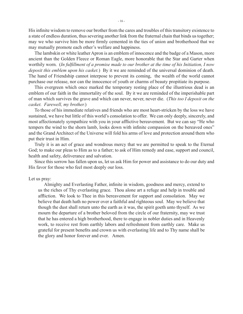His infinite wisdom to remove our brother from the cares and troubles of this transitory existence to a state of endless duration, thus severing another link from the fraternal chain that binds us together; may we who survive him be more firmly cemented in the ties of union and brotherhood that we may mutually promote each other's welfare and happiness.

The lambskin or white leather Apron is an emblem of innocence and the badge of a Mason, more ancient than the Golden Fleece or Roman Eagle, more honorable that the Star and Garter when worthily worn. (*In fulfillment of a promise made to our brother at the time of his Initiation, I now deposit this emblem upon his casket.*) By it we are reminded of the universal dominion of death. The hand of Friendship cannot interpose to prevent its coming, the wealth of the world cannot purchase our release, nor can the innocence of youth or charms of beauty propitiate its purpose.

This evergreen which once marked the temporary resting place of the illustrious dead is an emblem of our faith in the immortality of the soul. By it we are reminded of the imperishable part of man which survives the grave and which can never, never, never die. (*This too I deposit on the casket. Farewell, my brother.*)

To those of his immediate relatives and friends who are most heart-stricken by the loss we have sustained, we have but little of this world's consolation to offer. We can only deeply, sincerely, and most affectionately sympathize with you in your afflictive bereavement. But we can say "He who tempers the wind to the shorn lamb, looks down with infinite compassion on the bereaved ones" and the Grand Architect of the Universe will fold his arms of love and protection around them who put their trust in Him.

Truly it is an act of grace and wondrous mercy that we are permitted to speak to the Eternal God; to make our pleas to Him as to a father; to ask of Him remedy and ease, support and council, health and safety, deliverance and salvation.

Since this sorrow has fallen upon us, let us ask Him for power and assistance to do our duty and His favor for those who feel most deeply our loss.

#### Let us pray:

Almighty and Everlasting Father, infinite in wisdom, goodness and mercy, extend to us the riches of Thy everlasting grace. Thou alone art a refuge and help in trouble and affliction. We look to Thee in this bereavement for support and consolation. May we believe that death hath no power over a faithful and righteous soul. May we believe that though the dust shall return unto the earth as it was, the spirit goeth unto thyself. As we mourn the departure of a brother beloved from the circle of our fraternity, may we trust that he has entered a high brotherhood, there to engage in nobler duties and in Heavenly work, to receive rest from earthly labors and refreshment from earthly care. Make us grateful for present benefits and crown us with everlasting life and to Thy name shall be the glory and honor forever and ever. Amen.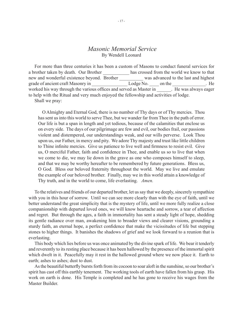### *Masonic Memorial Service* By Wendell Leonard

For more than three centuries it has been a custom of Masons to conduct funeral services for a brother taken by death. Our Brother has crossed from the world we know to that new and wonderful existence beyond. Brother \_\_\_\_\_\_\_\_\_\_ was advanced to the last and highest grade of ancient craft Masonry in \_\_\_\_\_\_\_\_\_\_\_\_\_\_\_ Lodge No. \_\_\_\_ on the \_\_\_\_\_\_\_\_\_\_\_\_\_\_. He worked his way through the various offices and served as Master in Fle was always eager to help with the Ritual and very much enjoyed the fellowship and activities of lodge.

Shall we pray:

 O Almighty and Eternal God, there is no number of Thy days or of Thy mercies. Thou has sent us into this world to serve Thee, but we wander far from Thee in the path of error. Our life is but a span in length and yet tedious, because of the calamities that enclose us on every side. The days of our pilgrimage are few and evil, our bodies frail, our passions violent and distempered, our understandings weak, and our wills perverse. Look Thou upon us, our Father, in mercy and pity. We adore Thy majesty and trust like little children to Thine infinite mercies. Give us patience to live well and firmness to resist evil. Give us, O merciful Father, faith and confidence in Thee, and enable us so to live that when we come to die, we may lie down in the grave as one who composes himself to sleep, and that we may be worthy hereafter to be remembered by future generations. Bless us, O God. Bless our beloved fraternity throughout the world. May we live and emulate the example of our beloved brother. Finally, may we in this world attain a knowledge of Thy truth, and in the world to come, life everlasting. *Amen.*

To the relatives and friends of our departed brother, let us say that we deeply, sincerely sympathize with you in this hour of sorrow. Until we can see more clearly than with the eye of faith, until we better understand the great simplicity that is the mystery of life, until we more fully realize a close companionship with departed loved ones, we will know heartache and sorrow, a tear of affection and regret. But through the ages, a faith in immortality has sent a steady light of hope, shedding its gentle radiance over man, awakening him to broader views and clearer visions, grounding a sturdy faith, an eternal hope, a perfect confidence that make the vicissitudes of life but stepping stones to higher things. It banishes the shadows of grief and we look forward to a reunion that is everlasting.

This body which lies before us was once animated by the divine spark of life. We bear it tenderly and reverently to its resting place because it has been hallowed by the presence of the immortal spirit which dwelt in it. Peacefully may it rest in the hallowed ground where we now place it. Earth to earth; ashes to ashes; dust to dust.

As the beautiful butterfly bursts forth from its cocoon to soar aloft in the sunshine, so our brother's spirit has cast off this earthly tenement. The working tools of earth have fallen from his grasp. His work on earth is done. His Temple is completed and he has gone to receive his wages from the Master Builder.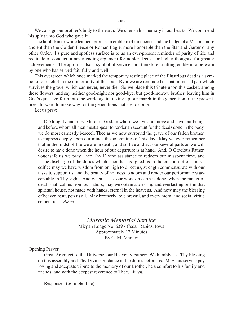We consign our brother's body to the earth. We cherish his memory in our hearts. We commend his spirit unto God who gave it.

The lambskin or white leather apron is an emblem of innocence and the badge of a Mason, more ancient than the Golden Fleece or Roman Eagle, more honorable than the Star and Garter or any other Order. I's pure and spotless surface is to us an ever-present reminder of purity of life and rectitude of conduct, a never ending argument for nobler deeds, for higher thoughts, for greater achievements. The apron is also a symbol of service and, therefore, a fitting emblem to be worn by one who has served faithfully and well.

This evergreen which once marked the temporary resting place of the illustrious dead is a symbol of our belief in the immortality of the soul. By it we are reminded of that immortal part which survives the grave, which can never, never die. So we place this tribute upon this casket, among these flowers, and say neither good-night nor good-bye, but good-morrow brother, leaving him in God's quiet, go forth into the world again, taking up our march in the generation of the present, press forward to make way for the generations that are to come.

Let us pray:

 O Almighty and most Merciful God, in whom we live and move and have our being, and before whom all men must appear to render an account for the deeds done in the body, we do most earnestly beseech Thee as we now surround the grave of our fallen brother, to impress deeply upon our minds the solemnities of this day. May we ever remember that in the midst of life we are in death, and so live and act our several parts as we will desire to have done when the hour of our departure is at hand. And, O Gracious Father, vouchsafe us we pray Thee Thy Divine assistance to redeem our misspent time, and in the discharge of the duties which Thou has assigned us in the erection of our moral edifice may we have wisdom from on high to direct us, strength commensurate with our tasks to support us, and the beauty of holiness to adorn and render our performances acceptable in Thy sight. And when at last our work on earth is done, when the mallet of death shall call us from our labors, may we obtain a blessing and everlasting rest in that spiritual house, not made with hands, eternal in the heavens. And now may the blessing of heaven rest upon us all. May brotherly love prevail, and every moral and social virtue cement us. *Amen.*

> *Masonic Memorial Service* Mizpah Lodge No. 639 - Cedar Rapids, Iowa Approximately 12 Minutes By C. M. Manley

Opening Prayer:

Great Architect of the Universe, our Heavenly Father: We humbly ask Thy blessing on this assembly and Thy Divine guidance in the duties before us. May this service pay loving and adequate tribute to the memory of our Brother, be a comfort to his family and friends, and with the deepest reverence to Thee. *Amen.*

Response: (So mote it be).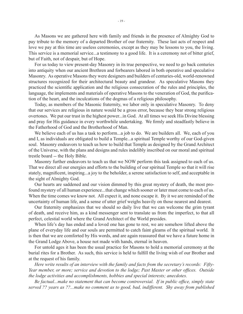As Masons we are gathered here with family and friends in the presence of Almighty God to pay tribute to the memory of a departed Brother of our fraternity. These last acts of respect and love we pay at this time are useless ceremonies, except as they may be lessons to you, the living. This service is a memorial service...a testimony to a good life. It is a ceremony not of bitter grief, but of Faith, not of despair, but of Hope.

For us today to view present-day Masonry in its true perspective, we need to go back centuries into antiquity when our ancient Brethren and forbearers labored in both operative and speculative Masonry. As operative Masons they were designers and builders of centuries-old, world-renowned structures recognized for their architectural beauty and grandeur. As speculative Masons they practiced the scientific application and the religious consecration of the rules and principles, the language, the implements and materials of operative Masons to the veneration of God, the purification of the heart, and the inculcations of the dogmas of a religious philosophy.

Today, as members of the Masonic fraternity, we labor only in speculative Masonry. To deny that our services are religious in nature would be a gross error, because they bear strong religious overtones. We put our trust in the highest power...in God. At all times we seek His Divine blessing and pray for His guidance in every worthwhile undertaking. We firmly and steadfastly believe in the Fatherhood of God and the Brotherhood of Man.

We believe each of us has a task to perform...a job to do. We are builders all. We, each of you and I, as individuals are obligated to build a Temple...a spiritual Temple worthy of our God-given soul. Masonry endeavors to teach us how to build that Temple as designed by the Grand Architect of the Universe, with the plans and designs and rules indelibly inscribed on our moral and spiritual trestle board -- the Holy Bible.

Masonry further endeavors to teach us that we NOW perform this task assigned to each of us. That we direct all our energies and efforts to the building of our spiritual Temple so that it will rise stately, magnificent, inspiring...a joy to the beholder, a serene satisfaction to self, and acceptable in the sight of Almighty God.

Our hearts are saddened and our vision dimmed by this great mystery of death, the most profound mystery of all human experience...that change which sooner or later must come to each of us. When the time comes we know not. All expect it, and none escape it. By it we are reminded of the uncertainty of human life, and a sense of utter grief weighs heavily on those nearest and dearest.

Our fraternity emphasizes that we should so daily live that we can welcome the grim tyrant of death, and receive him, as a kind messenger sent to translate us from the imperfect, to that all perfect, celestial world where the Grand Architect of the World presides.

When life's day has ended and a loved one has gone to rest, we are somehow lifted above the plane of everyday life and our souls are permitted to catch faint gleams of the spiritual world. It is then that we are comforted by His words, and are again reassured that we have a future home in the Grand Lodge Above, a house not made with hands, eternal in heaven.

For untold ages it has been the usual practice for Masons to hold a memorial ceremony at the burial rites for a Brother. As such, this service is held to fulfill the living wish of our Brother and at the request of his family.

*Here write results of an interview with the family and facts from the secretary's records: Fifty-Year member, or more; service and devotion to the lodge; Past Master or other offices. Outside the lodge activities and accomplishments, hobbies and special interests; anecdotes.*

*Be factual...make no statement that can become controversial. If in public office, simply state served ?? years as ??...make no comment as to good, bad, indifferent. Shy away from published*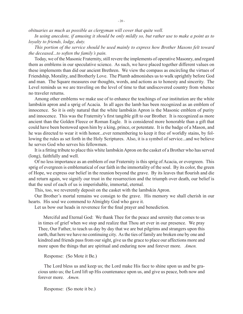*obituaries as much as possible as clergyman will cover that quite well.*

*In using anecdote, if amusing it should be only mildly so, but rather use to make a point as to loyalty to friends, lodge, duty.*

*This portion of the service should be used mainly to express how Brother Masons felt toward the deceased...to soften the family's pain.*

Today, we of the Masonic Fraternity, still revere the implements of operative Masonry, and regard them as emblems in our speculative science. As such, we have placed together different values on these implements than did our ancient Brethren. We view the compass as encircling the virtues of Friendship, Morality, and Brotherly Love. The Plumb admonishes us to walk uprightly before God and man. The Square measures our thoughts, words, and actions as to honesty and sincerity. The Level reminds us we are traveling on the level of time to that undiscovered country from whence no traveler returns.

Among other emblems we make use of to enhance the teachings of our institution are the white lambskin apron and a sprig of Acacia. In all ages the lamb has been recognized as an emblem of innocence. So it is only natural that the white lambskin Apron is the Masonic emblem of purity and innocence. This was the Fraternity's first tangible gift to our Brother. It is recognized as more ancient than the Golden Fleece or Roman Eagle. It is considered more honorable than a gift that could have been bestowed upon him by a king, prince, or potentate. It is the badge of a Mason, and he was directed to wear it with honor...ever remembering to keep it free of worldly stains, by following the rules as set forth in the Holy Scriptures. Also, it is a symbol of service...and we believe he serves God who serves his fellowmen.

It is a fitting tribute to place this white lambskin Apron on the casket of a Brother who has served (long), faithfully and well.

Of no less importance as an emblem of our Fraternity is this sprig of Acacia, or evergreen. This sprig of evergreen is emblematical of our faith in the immortality of the soul. By its color, the green of Hope, we express our belief in the reunion beyond the grave. By its leaves that flourish and die and return again, we signify our trust in the resurrection and the triumph over death, our belief is that the soul of each of us is imperishable, immortal, eternal.

This, too, we reverently deposit on the casket with the lambskin Apron.

Our Brother's mortal remains we consign to the grave. His memory we shall cherish in our hearts. His soul we commend to Almighty God who gave it.

Let us bow our heads in reverence for the final prayer and benediction.

 Merciful and Eternal God: We thank Thee for the peace and serenity that comes to us in times of grief when we stop and realize that Thou art ever in our presence. We pray Thee, Our Father, to teach us day by day that we are but pilgrims and strangers upon this earth, that here we have no continuing city. As the ties of family are broken one by one and kindred and friends pass from our sight, give us the grace to place our affections more and more upon the things that are spiritual and enduring now and forever more. *Amen.*

Response: (So Mote it Be.)

The Lord bless us and keep us; the Lord make His face to shine upon us and be gracious unto us; the Lord lift up His countenance upon us, and give us peace, both now and forever more. *Amen.*

Response: (So mote it be.)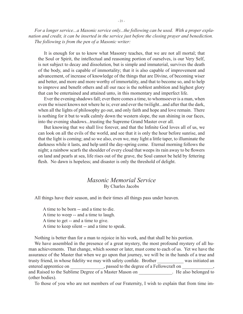*For a longer service...a Masonic service only...the following can be used. With a proper explanation and credit, it can be inserted in the service just before the closing prayer and benediction. The following is from the pen of a Masonic writer:*

It is enough for us to know what Masonry teaches, that we are not all mortal; that the Soul or Spirit, the intellectual and reasoning portion of ourselves, is our Very Self, is not subject to decay and dissolution, but is simple and immaterial, survives the death of the body, and is capable of immortality; that it is also capable of improvement and advancement, of increase of knowledge of the things that are Divine, of becoming wiser and better, and more and more worthy of immortality, and that to become so, and to help to improve and benefit others and all our race is the noblest ambition and highest glory that can be entertained and attained unto, in this momentary and imperfect life.

Ever the evening shadows fall; ever there comes a time, to whomsoever is a man, when even the wisest knows not where he is; ever and ever the twilight...and after that the dark, when all the lights of philosophy go out, and only faith and hope and love remain. There is nothing for it but to walk calmly down the western slope, the sun shining in our faces, into the evening shadows...trusting the Supreme Grand Master over all.

But knowing that we shall live forever, and that the Infinite God loves all of us, we can look on all the evils of the world, and see that it is only the hour before sunrise, and that the light is coming; and so we also, even we, may light a little taper, to illuminate the darkness while it lasts, and help until the day-spring come. Eternal morning follows the night; a rainbow scarfs the shoulder of every cloud that weeps its rain away to be flowers on land and pearls at sea, life rises out of the grave, the Soul cannot be held by fettering flesh. No dawn is hopeless; and disaster is only the threshold of delight.

### *Masonic Memorial Service* By Charles Jacobs

All things have their season, and in their times all things pass under heaven.

 A time to be born -- and a time to die. A time to weep -- and a time to laugh. A time to get -- and a time to give. A time to keep silent -- and a time to speak.

Nothing is better than for a man to rejoice in his work, and that shall be his portion.

We have assembled in the presence of a great mystery, the most profound mystery of all human achievements. That change, which sooner or later, must come to each of us. Yet we have the assurance of the Master that when we go upon that journey, we will be in the hands of a true and trusty friend, in whose fidelity we may with safety confide. Brother was initiated an entered apprentice on \_\_\_\_\_\_\_\_\_\_\_\_, passed to the degree of a Fellowcraft on \_ and Raised to the Sublime Degree of a Master Mason on \_\_\_\_\_\_\_\_\_\_\_\_\_\_. He also belonged to (other bodies).

To those of you who are not members of our Fraternity, I wish to explain that from time im-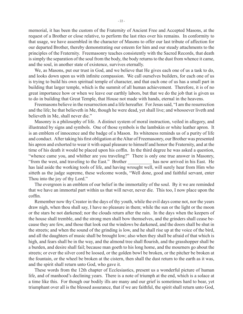memorial, it has been the custom of the Fraternity of Ancient Free and Accepted Masons, at the request of a Brother or close relative, to perform the last rites over his remains. In conformity to that usage, we have assembled in the character of Masons to offer our last tribute of affection for our departed Brother, thereby demonstrating our esteem for him and our steady attachments to the principles of the Fraternity. Freemasonry teaches consistently with the Sacred Records, that death is simply the separation of the soul from the body, the body returns to the dust from whence it came, and the soul, in another state of existence, survives eternally.

We, as Masons, put our trust in God, and we believe that He gives each one of us a task to do, and looks down upon us with infinite compassion. We call ourselves builders, for each one of us is trying to build his own spiritual temple of character, and that each one of us has a small part in building that larger temple, which is the summit of all human achievement. Therefore, it is of no great importance how or when we leave our earthly labors, but that we do the job that is given us to do in building that Great Temple, that House not made with hands, eternal in the heavens.

Freemasons believe in the resurrection and a life hereafter. For Jesus said, "I am the resurrection and the life; he that believeth in Me, though he were dead, yet shall live; and whosoever liveth and believeth in Me, shall never die."

Masonry is a philosophy of life. A distinct system of moral instruction, veiled in allegory, and illustrated by signs and symbols. One of those symbols is the lambskin or white leather apron. It is an emblem of innocence and the badge of a Mason. Its whiteness reminds us of a purity of life and conduct. After taking his first obligation at the Altar of Freemasonry, our Brother was presented his apron and exhorted to wear it with equal pleasure to himself and honor the Fraternity, and at the time of his death it would be placed upon his coffin. In the third degree he was asked a question, "whence came you, and whither are you traveling?" There is only one true answer in Masonry, "from the west, and traveling to the East." Brother \_\_\_\_\_\_\_\_\_\_ has now arrived in his East. He has laid aside the working tools of life, and having wrought well, will surely hear from Him who sitteth as the judge supreme, these welcome words, "Well done, good and faithful servant, enter Thou into the joy of thy Lord."

The evergreen is an emblem of our belief in the immortality of the soul. By it we are reminded that we have an immortal part within us that will never, never die. This too, I now place upon the coffin.

Remember now thy Creator in the days of thy youth, while the evil days come not, nor the years draw nigh, when thou shall say, I have no pleasure in them; while the sun or the light or the moon or the stars be not darkened; nor the clouds return after the rain. In the days when the keepers of the house shall tremble, and the strong men shall bow themselves, and the grinders shall cease because they are few, and those that look out the windows be darkened, and the doors shall be shut in the streets; and when the sound of the grinding is low, and he shall rise up at the voice of the bird, and all the daughters of music shall be brought low; also when they shall be afraid of that which is high, and fears shall be in the way, and the almond tree shall flourish, and the grasshopper shall be a burden, and desire shall fail; because man goeth to his long home, and the mourners go about the streets; or ever the silver cord be loosed, or the golden bowl be broken, or the pitcher be broken at the fountain, or the wheel be broken at the cistern, then shall the dust return to the earth as it was, and the spirit shall return unto God, who gave it.

These words from the 12th chapter of Ecclesiastics, present us a wonderful picture of human life, and of manhood's declining years. There is a note of triumph at the end, which is a solace at a time like this. For though our bodily ills are many and our grief is sometimes hard to bear, yet triumphant over all is the blessed assurance, that if we are faithful, the spirit shall return unto God,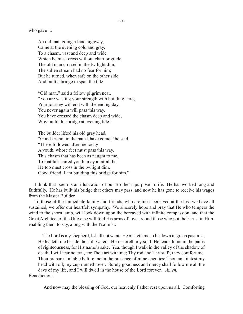who gave it.

An old man going a lone highway, Came at the evening cold and gray, To a chasm, vast and deep and wide. Which he must cross without chart or guide, The old man crossed in the twilight dim, The sullen stream had no fear for him; But he turned, when safe on the other side And built a bridge to span the tide.

"Old man," said a fellow pilgrim near, "You are wasting your strength with building here; Your journey will end with the ending day, You never again will pass this way. You have crossed the chasm deep and wide, Why build this bridge at evening tide."

The builder lifted his old gray head, "Good friend, in the path I have come," he said, "There followed after me today A youth, whose feet must pass this way. This chasm that has been as naught to me, To that fair haired youth, may a pitfall be. He too must cross in the twilight dim, Good friend, I am building this bridge for him."

I think that poem is an illustration of our Brother's purpose in life. He has worked long and faithfully. He has built his bridge that others may pass, and now he has gone to receive his wages from the Master Builder.

To those of the immediate family and friends, who are most bereaved at the loss we have all sustained, we offer our heartfelt sympathy. We sincerely hope and pray that He who tempers the wind to the shorn lamb, will look down upon the bereaved with infinite compassion, and that the Great Architect of the Universe will fold His arms of love around those who put their trust in Him, enabling them to say, along with the Psalmist:

 The Lord is my shepherd, I shall not want. He maketh me to lie down in green pastures; He leadeth me beside the still waters; He restoreth my soul; He leadeth me in the paths of righteousness, for His name's sake. Yea. though I walk in the valley of the shadow of death, I will fear no evil, for Thou art with me; Thy rod and Thy staff, they comfort me. Thou preparest a table before me in the presence of mine enemies; Thou annointest my head with oil; my cup runneth over. Surely goodness and mercy shall follow me all the days of my life, and I will dwell in the house of the Lord forever. *Amen.* Benediction:

And now may the blessing of God, our heavenly Father rest upon us all. Comforting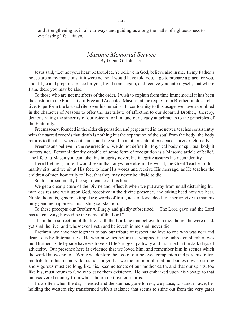and strengthening us in all our ways and guiding us along the paths of righteousness to everlasting life. *Amen.*

### *Masonic Memorial Service* By Glenn G. Johnston

Jesus said, "Let not your heart be troubled, Ye believe in God, believe also in me. In my Father's house are many mansions; if it were not so, I would have told you. I go to prepare a place for you, and if I go and prepare a place for you, I will come again, and receive you unto myself; that where I am, there you may be also."

To those who are not members of the order, I wish to explain from time immemorial it has been the custom in the Fraternity of Free and Accepted Masons, at the request of a Brother or close relative, to perform the last sad rites over his remains. In conformity to this usage, we have assembled in the character of Masons to offer the last tribute of affection to our departed Brother, thereby, demonstrating the sincerity of our esteem for him and our steady attachments to the principles of the Fraternity.

Freemasonry, founded in the older dispensation and perpetuated in the newer, teaches consistently with the sacred records that death is nothing but the separation of the soul from the body; the body returns to the dust whence it came, and the soul in another state of existence, survives eternally.

Freemasons believe in the resurrection. We do not define it. Physical body or spiritual body it matters not. Personal identity capable of some form of recognition is a Masonic article of belief. The life of a Mason you can take; his integrity never; his integrity assures his risen identity.

Here Brethren, more it would seem than anywhere else in the world, the Great Teacher of humanity sits, and we sit at His feet, to hear His words and receive His message, as He teaches the children of men how truly to live, that they may never be afraid to die.

Such is preeminently the significance of this hour.

We get a clear picture of the Divine and reflect it when we put away from us all disturbing human desires and wait upon God, receptive in the divine presence, and taking heed how we hear. Noble thoughts, generous impulses; words of truth, acts of love, deeds of mercy; give to man his only genuine happiness, his lasting satisfaction.

To these precepts our Brother willingly and gladly subscribed. "The Lord gave and the Lord has taken away; blessed be the name of the Lord."

"I am the resurrection of the life, saith the Lord; he that believeth in me, though he were dead, yet shall he live; and whosoever liveth and believeth in me shall never die."

Brethren, we have met together to pay our tribute of respect and love to one who was near and dear to us by fraternal ties. He who now lies before us, wrapped in the unbroken slumber, was our Brother. Side by side have we traveled life's rugged pathway and mourned in the dark days of adversity. Our presence here is evidence that we loved him, and remember him in scenes which the world knows not of. While we deplore the loss of our beloved companion and pay this fraternal tribute to his memory, let us not forget that we too are mortal; that our bodies now so strong and vigorous must ere long, like his, become tenets of our mother earth, and that our spirits, too like his, must return to God who gave them existence. He has embarked upon his voyage to that undiscovered country from whose bourn no traveler returns.

How often when the day is ended and the sun has gone to rest, we pause, to stand in awe, beholding the western sky transformed with a radiance that seems to shine out from the very gates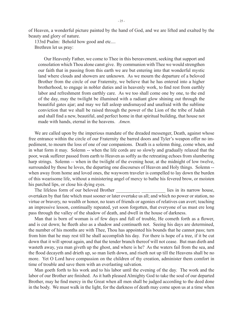of Heaven, a wonderful picture painted by the hand of God, and we are lifted and exalted by the beauty and glory of nature.

 133rd Psalm: Behold how good and etc.... Brethren let us pray:

Our Heavenly Father, we come to Thee in this bereavement, seeking that support and consolation which Thou alone canst give. By communion with Thee we would strengthen our faith that in passing from this earth we are but entering into that wonderful mystic land where clouds and showers are unknown. As we mourn the departure of a beloved Brother from the circle of our Fraternity, we believe that he has entered into a higher brotherhood, to engage in nobler duties and in heavenly work, to find rest from earthly labor and refreshment from earthly care. As we too shall come one by one, to the end of the day, may the twilight be illumined with a radiant glow shining out through the beautiful gates ajar; and may we fall asleep undismayed and unafraid with the sublime conviction that we shall be raised through the power of the Lion of the tribe of Judah and shall find a new, beautiful, and perfect home in that spiritual building, that house not made with hands, eternal in the heavens. *Amen.*

We are called upon by the imperious mandate of the dreaded messenger, Death, against whose free entrance within the circle of our Fraternity the barred doors and Tyler's weapon offer no impediment, to mourn the loss of one of our companions. Death is a solemn thing, come when, and in what form it may. Solemn -- when the life cords are so slowly and gradually relaxed that the poor, weak sufferer passed from earth to Heaven as softly as the retreating echoes from slumbering harp strings. Solemn -- when in the twilight of the evening hour, at the midnight of low twelve, surrounded by those he loves, the departing one discourses of Heaven and Holy things. Solemn - when away from home and loved ones, the wayworn traveler is compelled to lay down the burden of this wearisome life, without a ministering angel of mercy to bathe his fevered brow, or moisten his parched lips, or close his dying eyes.

The lifeless form of our beloved Brother lies in its narrow house, overtaken by that fate which must sooner or later overtake us all; and which no power or station, no virtue or bravery, no wealth or honor, no tears of friends or agonies of relatives can avert; teaching an impressive lesson, continually repeated, yet soon forgotten, that everyone of us must ere long pass through the valley of the shadow of death, and dwell in the house of darkness.

Man that is born of woman is of few days and full of trouble, He cometh forth as a flower, and is cut down; he fleeth also as a shadow and continueth not. Seeing his days are determined, the number of his months are with Thee, Thou has appointed his bounds that he cannot pass; turn from him that he may rest till he shall accomplish his day. For there is hope of a tree, if it be cut down that it will sprout again, and that the tender branch thereof will not cease. But man dieth and wasteth away, yea man giveth up the ghost, and where is he? As the waters fail from the sea, and the flood decayeth and drieth up, so man lieth down, and riseth not up till the Heavens shall be no more. Yet O Lord have compassion on the children of thy creation, administer them comfort in time of trouble and save them with an everlasting salvation.

Man goeth forth to his work and to his labor until the evening of the day. The work and the labor of our Brother are finished. As it hath pleased Almighty God to take the soul of our departed Brother, may he find mercy in the Great when all men shall be judged according to the deed done in the body. We must walk in the light, for the darkness of death may come upon us at a time when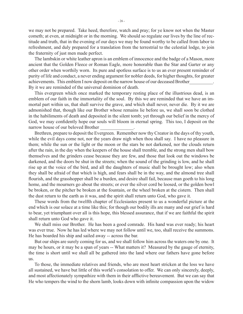we may not be prepared. Take heed, therefore, watch and pray; for ye know not when the Master cometh; at even, at midnight or in the morning. We should so regulate our lives by the line of rectitude and truth, that in the evening of our days we may be found worthy to be called from labor to refreshment, and duly prepared for a translation from the terrestrial to the celestial lodge, to join the fraternity of just men made perfect.

The lambskin or white leather apron is an emblem of innocence and the badge of a Mason, more ancient that the Golden Fleece or Roman Eagle, more honorable than the Star and Garter or any other order when worthily worn. Its pure and spotless surface is to us an ever present reminder of purity of life and conduct, a never ending argument for nobler deeds, for higher thoughts, for greater achievements. This emblem I now deposit on the narrow house of our deceased Brother\_\_\_\_\_\_\_\_\_\_. By it we are reminded of the universal dominion of death.

This evergreen which once marked the temporary resting place of the illustrious dead, is an emblem of our faith in the immortality of the soul. By this we are reminded that we have an immortal part within us, that shall survive the grave, and which shall never, never die. By it we are admonished that, though like our Brother whose remains lie before us, we shall soon be clothed in the habiliments of death and deposited in the silent tomb; yet through our belief in the mercy of God, we may confidently hope our souls will bloom in eternal spring. This too, I deposit on the narrow house of our beloved Brother

Brethren, prepare to deposit the Evergreen. Remember now thy Creator in the days of thy youth, while the evil days come not, nor the years draw nigh when thou shall say. I have no pleasure in them; while the sun or the light or the moon or the stars be not darkened, nor the clouds return after the rain, in the day when the keepers of the house shall tremble, and the strong men shall bow themselves and the grinders cease because they are few, and those that look out the windows be darkened, and the doors be shut in the streets; when the sound of the grinding is low, and he shall rise up at the voice of the bird, and all the daughters of music shall be brought low; also when they shall be afraid of that which is high, and fears shall be in the way, and the almond tree shall flourish, and the grasshopper shall be a burden, and desire shall fail, because man goeth to his long home, and the mourners go about the streets; or ever the silver cord be loosed, or the golden bowl be broken, or the pitcher be broken at the fountain, or the wheel broken at the cistern. Then shall the dust return to the earth as it was, and the spirit shall return unto God, who gave it.

These words from the twelfth chapter of Ecclesiastes present to us a wonderful picture at the end which is our solace at a time like this; for though our bodily ills are many and our grief is hard to bear, yet triumphant over all is this hope, this blessed assurance, that if we are faithful the spirit shall return unto God who gave it.

We shall miss our Brother. He has been a good comrade. His hand was ever ready; his heart was ever true. Now he has led where we may not follow until we, too, shall receive the summons. He has boarded his ship and sailed away -- across the bar.

But our ships are surely coming for us, and we shall follow him across the waters one by one. It may be hours, or it may be a span of years -- What matters it? Measured by the gauge of eternity, the time is short until we shall all be gathered into the land where our fathers have gone before us.

To those, the immediate relatives and friends, who are most heart stricken at the loss we have all sustained, we have but little of this world's consolation to offer. We can only sincerely, deeply, and most affectionately sympathize with them in their afflictive bereavement. But we can say that He who tempers the wind to the shorn lamb, looks down with infinite compassion upon the widow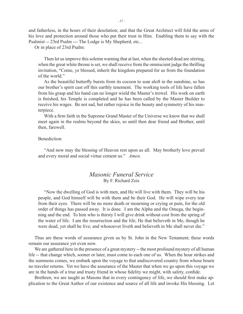and fatherless, in the hours of their desolation; and that the Great Architect will fold the arms of his love and protection around those who put their trust in Him. Enabling them to say with the Psalmist -- 23rd Psalm --- The Lodge is My Shepherd, etc...

Or in place of 23rd Psalm:

Then let us improve this solemn warning that at last, when the sheeted dead are stirring, when the great white throne is set, we shall receive from the omniscient judge the thrilling invitation, "Come, ye blessed, inherit the kingdom prepared for us from the foundation of the world."

As the beautiful butterfly bursts from its cocoon to soar aloft in the sunshine, so has our brother's spirit cast off this earthly tenement. The working tools of life have fallen from his grasp and his hand can no longer wield the Master's trowel. His work on earth is finished, his Temple is completed and he has been called by the Master Builder to receive his wages. Be not sad, but rather rejoice in the beauty and symmetry of his masterpiece.

With a firm faith in the Supreme Grand Master of the Universe we know that we shall meet again in the realms beyond the skies, so until then dear friend and Brother, until then, farewell.

Benediction:

"And now may the blessing of Heaven rest upon us all. May brotherly love prevail and every moral and social virtue cement us." *Amen.*

## *Masonic Funeral Service* By F. Richard Zeis

"Now the dwelling of God is with men, and He will live with them. They will be his people, and God himself will be with them and be their God. He will wipe every tear from their eyes. There will be no more death or mourning or crying or pain, for the old order of things has passed away. It is done. I am the Alpha and the Omega, the beginning and the end. To him who is thirsty I will give drink without cost from the spring of the water of life. I am the resurrection and the life; He that believeth in Me, though he were dead, yet shall he live; and whosoever liveth and believeth in Me shall never die."

Thus are these words of assurance given us by St. John in the New Testament; these words remain our assurance yet even now.

We are gathered here in the presence of a great mystery -- the most profound mystery of all human life -- that change which, sooner or later, must come to each one of us. When the hour strikes and the summons comes, we embark upon the voyage to that undiscovered country from whose bourn no traveler returns. Yet we have the assurance of the Master that when we go upon this voyage we are in the hands of a true and trusty friend in whose fidelity we might, with safety, confide.

Brethren, we are taught as Masons that in every contingency of life, we should first make application to the Great Author of our existence and source of all life and invoke His blessing. Let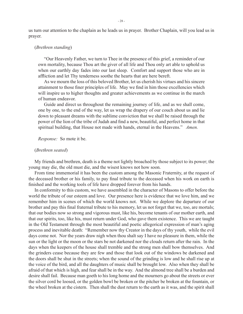us turn our attention to the chaplain as he leads us in prayer. Brother Chaplain, will you lead us in prayer.

#### (*Brethren standing*)

"Our Heavenly Father, we turn to Thee in the presence of this grief, a reminder of our own mortality, because Thou art the giver of all life and Thou only art able to uphold us when our earthly day fades into our last sleep. Comfort and support those who are in affliction and let Thy tenderness soothe the hearts that are here bereft.

As we mourn the loss of this beloved Brother, let us cherish his virtues and his sincere attainment to those finer principles of life. May we find in him those excellencies which will inspire us to higher thoughts and greater achievements as we continue in the march of human endeavor.

Guide and direct us throughout the remaining journey of life, and as we shall come, one by one, to the end of the way, let us wrap the drapery of our couch about us and lie down to pleasant dreams with the sublime conviction that we shall be raised through the power of the lion of the tribe of Judah and find a new, beautiful, and perfect home in that spiritual building, that House not made with hands, eternal in the Heavens." *Amen.*

*Response:* So mote it be.

#### (*Brethren seated*)

My friends and brethren, death is a theme not lightly broached by those subject to its power; the young may die, the old must die, and the wisest knows not how soon.

From time immemorial it has been the custom among the Masonic Fraternity, at the request of the deceased brother or his family, to pay final tribute to the deceased when his work on earth is finished and the working tools of life have dropped forever from his hands.

In conformity to this custom, we have assembled in the character of Masons to offer before the world the tribute of our esteem and love. Our presence here is evidence that we love him, and we remember him in scenes of which the world knows not. While we deplore the departure of our brother and pay this final fraternal tribute to his memory, let us not forget that we, too, are mortals; that our bodies now so strong and vigorous must, like his, become tenants of our mother earth, and that our spirits, too, like his, must return under God, who gave them existence. This we are taught in the Old Testament through the most beautiful and poetic allegorical expression of man's aging process and inevitable death: "Remember now thy Creator in the days of thy youth, while the evil days come not. Nor the years draw nigh when thou shalt say I have no pleasure in them, while the sun or the light or the moon or the stars be not darkened nor the clouds return after the rain. In the days when the keepers of the house shall tremble and the strong men shall bow themselves. And the grinders cease because they are few and those that look out of the windows be darkened and the doors shall be shut in the streets; when the sound of the grinding is low and he shall rise up at the voice of the bird, and all the daughters of music shall be brought low. Also when they shall be afraid of that which is high, and fear shall be in the way. And the almond tree shall be a burden and desire shall fail. Because man goeth to his long home and the mourners go about the streets or ever the silver cord be loosed, or the golden bowl be broken or the pitcher be broken at the fountain, or the wheel broken at the cistern. Then shall the dust return to the earth as it was, and the spirit shall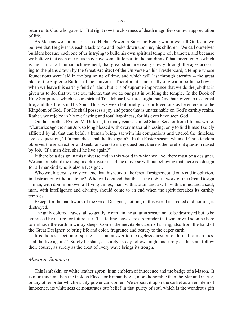return unto God who gave it." But right now the closeness of death magnifies our own appreciation of life.

As Masons we put our trust in a Higher Power, a Supreme Being whom we call God, and we believe that He gives us each a task to do and looks down upon us, his children. We call ourselves builders because each one of us is trying to build his own spiritual temple of character, and because we believe that each one of us may have some little part in the building of that larger temple which is the sum of all human achievement, that great structure rising slowly through the ages according to the plans drawn by the Great Architect of the Universe on his Trestleboard, a temple whose foundations were laid in the beginning of time, and which will last through eternity -- the great plan of the Supreme Builder of the Universe. Therefore it is not really of great importance how or when we leave this earthly field of labor, but it is of supreme importance that we do the job that is given us to do, that we use our talents, that we do our part in building the temple. In the Book of Holy Scriptures, which is our spiritual Trestleboard, we are taught that God hath given to us eternal life, and this life is in His Son. Thus, we weep but briefly for our loved one as he enters into the Kingdom of God. For He shall possess a joy and peace that is unattainable on God's earthly realm. Rather, we rejoice in his everlasting and total happiness, for his eyes have seen God.

Our late brother, Everett M. Dirksen, for many years a United States Senator from Illinois, wrote: "Centuries ago the man Job, so long blessed with every material blessing, only to find himself solely afflicted by all that can befall a human being, sat with his companions and uttered the timeless, ageless question, ' If a man dies, shall he live again?' In the Easter season when all Christiandom observes the resurrection and seeks answers to many questions, there is the forefront question raised by Job, 'If a man dies, shall he live again?'"

If there be a design in this universe and in this world in which we live, there must be a designer. We cannot behold the inexplicable mysteries of the universe without believing that there is a design for all mankind who is also a Designer.

Who would persuasively contend that this work of the Great Designer could only end in oblivion, in destruction without a trace? Who will contend that this -- the noblest work of the Great Design -- man, with dominion over all living things; man, with a brain and a will; with a mind and a soul; man, with intelligence and divinity, should come to an end when the spirit forsakes its earthly temple?

Except for the handiwork of the Great Designer, nothing in this world is created and nothing is destroyed.

The gaily colored leaves fall so gently to earth in the autumn season not to be destroyed but to be embraced by nature for future use. The falling leaves are a reminder that winter will soon be here to embrace the earth in wintry sleep. Comes the inevitable caress of spring, also from the hand of the Great Designer, to bring life and color, fragrance and beauty to the eager earth.

It is the resurrection of spring. It is an answer to the ageless question of Job, "If a man dies, shall he live again?" Surely he shall, as surely as day follows night, as surely as the stars follow their course, as surely as the crest of every wave brings its trough.

#### *Masonic Summary*

This lambskin, or white leather apron, is an emblem of innocence and the badge of a Mason. It is more ancient than the Golden Fleece or Roman Eagle, more honorable than the Star and Garter, or any other order which earthly power can confer. We deposit it upon the casket as an emblem of innocence, its whiteness demonstrates our belief in that purity of soul which is the wondrous gift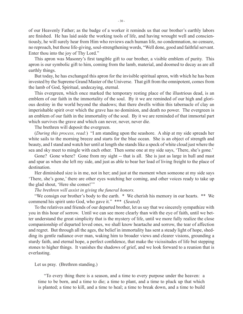of our Heavenly Father; as the badge of a worker it reminds us that our brother's earthly labors are finished. He has laid aside the working tools of life, and having wrought well and conscientiously, he will surely hear from Him who reviews each human life, no condemnation, no censure, no reproach, but those life-giving, soul-strengthening words, "Well done, good and faithful servant. Enter thou into the joy of Thy Lord."

This apron was Masonry's first tangible gift to our brother, a visible emblem of purity. This apron is our symbolic gift to him, coming from the lamb, material, and doomed to decay as are all earthly things.

But today, he has exchanged this apron for the invisible spiritual apron, with which he has been invested by the Supreme Grand Master of the Universe. That gift from the omnipotent, comes from the lamb of God, Spiritual, undecaying, eternal.

This evergreen, which once marked the temporary resting place of the illustrious dead, is an emblem of our faith in the immortality of the soul. By it we are reminded of our high and glorious destiny in the world beyond the shadows; that there dwells within this tabernacle of clay an imperishable spirit over which the grave has no dominion, and death no power. The evergreen is an emblem of our faith in the immortality of the soul. By it we are reminded of that immortal part which survives the grave and which can never, never, never die.

The brethren will deposit the evergreen.

(*During this process, read:*) "I am standing upon the seashore. A ship at my side spreads her white sails to the morning breeze and starts for the blue ocean. She is an object of strength and beauty, and I stand and watch her until at length she stands like a speck of white cloud just where the sea and sky meet to mingle with each other. Then some one at my side says, 'There, she's gone.'

Gone? Gone where? Gone from my sight -- that is all. She is just as large in hull and mast and spar as when she left my side, and just as able to bear her load of living freight to the place of destination.

Her diminished size is in me, not in her; and just at the moment when someone at my side says 'There, she's gone,' there are other eyes watching her coming, and other voices ready to take up the glad shout, 'Here she comes!'"

#### *The brethren will assist in giving the funeral honors.*

"We consign our brother's body to the earth. \* We cherish his memory in our hearts. \*\* We commend his spirit unto God, who gave it." \*\*\* (*Seated*)

To the relatives and friends of our departed brother, let us say that we sincerely sympathize with you in this hour of sorrow. Until we can see more clearly than with the eye of faith, until we better understand the great simplicity that is the mystery of life, until we more fully realize the close companionship of departed loved ones, we shall know heartache and sorrow, the tear of affection and regret. But through all the ages, the belief in immortality has sent a steady light of hope, shedding its gentle radiance over man, waking him to broader views and clearer visions, grounding a sturdy faith, and eternal hope, a perfect confidence, that make the vicissitudes of life but stepping stones to higher things. It vanishes the shadows of grief, and we look forward to a reunion that is everlasting.

#### Let us pray. (Brethren standing.)

"To every thing there is a season, and a time to every purpose under the heaven: a time to be born, and a time to die; a time to plant, and a time to pluck up that which is planted; a time to kill, and a time to heal; a time to break down, and a time to build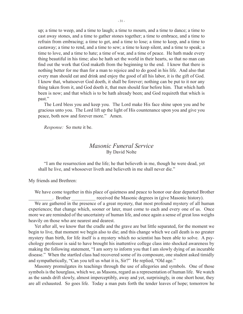up; a time to weep, and a time to laugh; a time to mourn, and a time to dance; a time to cast away stones, and a time to gather stones together; a time to embrace, and a time to refrain from embracing; a time to get, and a time to lose; a time to keep, and a time to castaway; a time to rend, and a time to sew; a time to keep silent, and a time to speak; a time to love, and a time to hate; a time of war, and a time of peace. He hath made every thing beautiful in his time; also he hath set the world in their hearts, so that no man can find out the work that God maketh from the beginning to the end. I know that there is nothing better for me than for a man to rejoice and to do good in his life. And also that every man should eat and drink and enjoy the good of all his labor, it is the gift of God. I know that, whatsoever God doeth, it shall be forever; nothing can be put to it nor any thing taken from it, and God doeth it, that men should fear before him. That which hath been is now; and that which is to be hath already been; and God requireth that which is past."

The Lord bless you and keep you. The Lord make His face shine upon you and be gracious unto you. The Lord lift up the light of His countenance upon you and give you peace, both now and forever more." Amen.

*Response:* So mote it be.

## *Masonic Funeral Service* By David Nolte

"I am the resurrection and the life; he that believeth in me, though he were dead, yet shall he live, and whosoever liveth and believeth in me shall never die."

My friends and Brethren:

We have come together in this place of quietness and peace to honor our dear departed Brother . Brother received the Masonic degrees in (give Masonic history).

We are gathered in the presence of a great mystery, that most profound mystery of all human experiences; that change which, sooner or later, must come to each and every one of us. Once more we are reminded of the uncertainty of human life, and once again a sense of great loss weighs heavily on those who are nearest and dearest.

Yet after all, we know that the cradle and the grave are but little separated, for the moment we begin to live, that moment we begin also to die; and this change which we call death is no greater mystery than birth, for life itself is a mystery which no scientist has been able to solve. A psychology professor is said to have brought his inattentive college class into shocked awareness by making the following statement, "I am sorry to inform you that I am slowly dying of an incurable disease." When the startled class had recovered some of its composure, one student asked timidly and sympathetically, "Can you tell us what it is, Sir?" He replied, "Old age."

Masonry promulgates its teachings through the use of allegories and symbols. One of those symbols is the hourglass, which we, as Masons, regard as a representation of human life. We watch as the sands drift slowly, almost imperceptibly, away and yet, surprisingly, in one short hour, they are all exhausted. So goes life. Today a man puts forth the tender leaves of hope; tomorrow he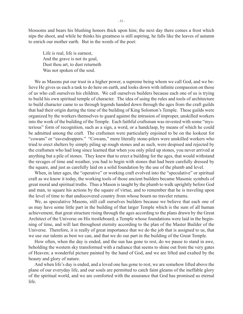blossoms and bears his blushing honors thick upon him; the next day there comes a frost which nips the shoot, and while he thinks his greatness is still aspiring, he falls like the leaves of autumn to enrich our mother earth. But in the words of the poet:

 Life is real, life is earnest, And the grave is not its goal, Dust thou art, to dust returneth Was not spoken of the soul.

We as Masons put our trust in a higher power, a supreme being whom we call God, and we believe He gives us each a task to do here on earth, and looks down with infinite compassion on those of us who call ourselves his children. We call ourselves builders because each one of us is trying to build his own spiritual temple of character. The idea of using the rules and tools of architecture to build character came to us through legends handed down through the ages from the craft guilds that had their origin during the time of the building of King Solomon's Temple. These guilds were organized by the workers themselves to guard against the intrusion of improper, unskilled workers into the work of the building of the Temple. Each faithful craftsman was invested with some "mysterious" form of recognition, such as a sign, a word, or a handclasp, by means of which he could be admitted among the craft. The craftsmen were particularly enjoined to be on the lookout for "cowans" or "eavesdroppers." "Cowans," more literally stone-pilers were unskilled workers who tried to erect shelters by simply piling up rough stones and as such, were despised and rejected by the craftsmen who had long since learned that when you only piled up stones, you never arrived at anything but a pile of stones. They knew that to erect a building for the ages, that would withstand the ravages of time and weather, you had to begin with stones that had been carefully dressed by the square, and just as carefully laid on a solid foundation by the use of the plumb and level.

When, in later ages, the "operative" or working craft evolved into the "speculative" or spiritual craft as we know it today, the working tools of those ancient builders became Masonic symbols of great moral and spiritual truths. Thus a Mason is taught by the plumb to walk uprightly before God and man, to square his actions by the square of virtue, and to remember that he is traveling upon the level of time to that undiscovered country from whose bourn no traveler returns.

We, as speculative Masons, still call ourselves builders because we believe that each one of us may have some little part in the building of that larger Temple which is the sum of all human achievement, that great structure rising through the ages according to the plans drawn by the Great Architect of the Universe on His trestleboard; a Temple whose foundations were laid in the beginning of time, and will last throughout eternity according to the plan of the Master Builder of the Universe. Therefore, it is really of great importance that we do the job that is assigned to us, that we use our talents as best we can, and that we do our part in the building of the Great Temple.

How often, when the day is ended, and the sun has gone to rest, do we pause to stand in awe, beholding the western sky transformed with a radiance that seems to shine out from the very gates of Heaven; a wonderful picture painted by the hand of God, and we are lifted and exalted by the beauty and glory of nature.

And when life's day is ended, and a loved one has gone to rest, we are somehow lifted above the plane of our everyday life, and our souls are permitted to catch faint gleams of the ineffable glory of the spiritual world, and we are comforted with the assurance that God has promised us eternal life.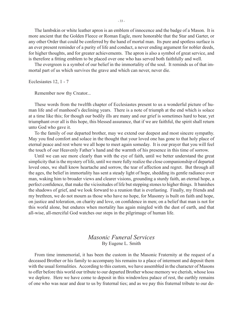The lambskin or white leather apron is an emblem of innocence and the badge of a Mason. It is more ancient that the Golden Fleece or Roman Eagle, more honorable that the Star and Garter, or any other Order that could be conferred by the hand of mortal man. Its pure and spotless surface is an ever present reminder of a purity of life and conduct, a never ending argument for nobler deeds, for higher thoughts, and for greater achievements. The apron is also a symbol of great service, and is therefore a fitting emblem to be placed over one who has served both faithfully and well.

The evergreen is a symbol of our belief in the immortality of the soul. It reminds us of that immortal part of us which survives the grave and which can never, never die.

Ecclesiastes 12, 1 - 7

Remember now thy Creator...

These words from the twelfth chapter of Ecclesiastes present to us a wonderful picture of human life and of manhood's declining years. There is a note of triumph at the end which is solace at a time like this; for though our bodily ills are many and our grief is sometimes hard to bear, yet triumphant over all is this hope, this blessed assurance, that if we are faithful, the spirit shall return unto God who gave it.

To the family of our departed brother, may we extend our deepest and most sincere sympathy. May you find comfort and solace in the thought that your loved one has gone to that holy place of eternal peace and rest where we all hope to meet again someday. It is our prayer that you will feel the touch of our Heavenly Father's hand and the warmth of his presence in this time of sorrow.

Until we can see more clearly than with the eye of faith, until we better understand the great simplicity that is the mystery of life, until we more fully realize the close companionship of departed loved ones, we shall know heartache and sorrow, the tear of affection and regret. But through all the ages, the belief in immortality has sent a steady light of hope, shedding its gentle radiance over man, waking him to broader views and clearer visions, grounding a sturdy faith, an eternal hope, a perfect confidence, that make the vicissitudes of life but stepping stones to higher things. It banishes the shadows of grief, and we look forward to a reunion that is everlasting. Finally, my friends and my brethren, we do not mourn as those who have no hope, for Masonry is built on faith and hope, on justice and toleration, on charity and love, on confidence in men; on a belief that man is not for this world alone, but endures when mortality has again mingled with the dust of earth, and that all-wise, all-merciful God watches our steps in the pilgrimage of human life.

## *Masonic Funeral Services* By Eugene L. Smith

From time immemorial, it has been the custom in the Masonic Fraternity at the request of a deceased Brother or his family to accompany his remains to a place of interment and deposit them with the usual formalities. According to this custom, we have assembled in the character of Masons to offer before this world our tribute to our departed Brother whose memory we cherish, whose loss we deplore. Here we have come to deposit in this windowless palace of rest, the earthly remains of one who was near and dear to us by fraternal ties; and as we pay this fraternal tribute to our de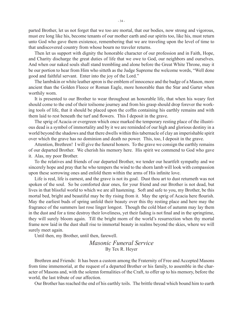parted Brother, let us not forget that we too are mortal, that our bodies, now strong and vigorous, must ere long like his, become tenants of our mother earth and our spirits too, like his, must return unto God who gave them existence, remembering that we are traveling upon the level of time to that undiscovered country from whose bourn no traveler returns.

Then let us support with dignity the honorable character of our profession and in Faith, Hope, and Charity discharge the great duties of life that we owe to God, our neighbors and ourselves. And when our naked souls shall stand trembling and alone before the Great White Throne, may it be our portion to hear from Him who sitteth as the Judge Supreme the welcome words, "Well done good and faithful servant. Enter into the joy of the Lord."

The lambskin or white leather apron is the emblem of innocence and the badge of a Mason, more ancient than the Golden Fleece or Roman Eagle, more honorable than the Star and Garter when worthily worn.

It is presented to our Brother to wear throughout an honorable life, that when his weary feet should come to the end of their toilsome journey and from his grasp should drop forever the working tools of life, that it should be placed upon the coffin containing his earthly remains and with them laid to rest beneath the turf and flowers. This I deposit in the grave.

The sprig of Acacia or evergreen which once marked the temporary resting place of the illustrious dead is a symbol of immortality and by it we are reminded of our high and glorious destiny in a world beyond the shadows and that there dwells within this tabernacle of clay an imperishable spirit over which the grave has no dominion and death no power. This, too, I deposit in the grave.

Attention, Brethren! I will give the funeral honors. To the grave we consign the earthly remains of our departed Brother. We cherish his memory here. His spirit we commend to God who gave it. Alas, my poor Brother.

To the relatives and friends of our departed Brother, we tender our heartfelt sympathy and we sincerely hope and pray that he who tempers the wind to the shorn lamb will look with compassion upon these sorrowing ones and enfold them within the arms of His infinite love.

Life is real, life is earnest, and the grave is not its goal. Dust thou art to dust returneth was not spoken of the soul. So be comforted dear ones, for your friend and our Brother is not dead, but lives in that blissful world to which we are all hastening. Soft and safe to you, my Brother, be this mortal bed, bright and beautiful may be thy rising from it. May the sprig of Acacia here flourish. May the earliest buds of spring unfold their beauty over this thy resting place and here may the fragrance of the summers last rose linger longest. Though the cold blast of autumn may lay them in the dust and for a time destroy their loveliness, yet their fading is not final and in the springtime, they will surely bloom again. Till the bright morn of the world's resurrection when thy mortal frame now laid in the dust shall rise to immortal beauty in realms beyond the skies, where we will surely meet again.

Until then, my Brother, until then, farewell.

*Masonic Funeral Service* By Tex R. Heyer

Brethren and Friends: It has been a custom among the Fraternity of Free and Accepted Masons from time immemorial, at the request of a departed Brother or his family, to assemble in the character of Masons and, with the solemn formalities of the Craft, to offer up to his memory, before the world, the last tribute of our affection.

Our Brother has reached the end of his earthly toils. The brittle thread which bound him to earth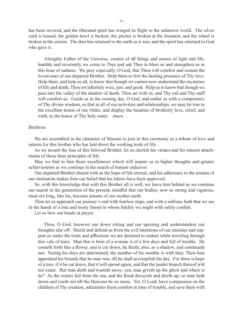has been severed, and the liberated spirit has winged its flight to the unknown world. The silver cord is loosed; the golden bowl is broken; the pitcher is broken at the fountain; and the wheel is broken at the cistern. The dust has returned to the earth as it was, and the spirit has returned to God who gave it.

Almighty Father of the Universe, creator of all things and source of light and life, humble and reverently we come to Thee and ask Thee to bless us and strengthen us in this hour of sadness. We pray especially, O God, that Thou wilt comfort and sustain the loved ones of our departed Brother. Help them to feel the healing presence of Thy love. Help them, and help us all, to know that though we cannot now understand the mysteries of life and death, Thou art infinitely wise, just, and good. Help us to know that though we pass into the valley of the shadow of death, Thou art with us, and Thy rod and Thy staff wilt comfort us. Guide us in the coming day, O God, and endue us with a competency of Thy divine wisdom, so that in all of our activities and relationships, we may be true to the excellent tenets of our Order, and display the beauties of brotherly love, relief, and truth, to the honor of Thy holy name. *Amen.*

#### Brethren:

We are assembled in the character of Masons to join in this ceremony as a tribute of love and esteem for this brother who has laid down the working tools of life.

As we mourn the loss of this beloved Brother, let us cherish his virtues and his sincere attachments of those finer principles of life.

May we find in him those excellencies which will inspire us to higher thoughts and greater achievements as we continue in the march of human endeavor.

Our departed Brother shared with us the hope of life eternal, and his adherence to the tenants of our institution makes firm our belief that his labors have been approved.

So, with this knowledge that with this Brother all is well, we leave him behind as we continue our march in the generation of the present, mindful that our bodies, now so strong and vigorous, must ere long, like his, become tenants of our mother earth.

Then let us approach our journey's end with fearless steps, and with a sublime faith that we are in the hands of a true and trusty friend in whose fidelity we might with safety confide.

Let us bow our heads in prayer.

Thou, O God, knowest our down sitting and our uprising and understandest our thoughts afar off. Shield and defend us from the evil intentions of our enemies and support us under the trials and afflictions we are destined to endure while traveling through this vale of tears. Man that is born of a woman is of a few days and full of trouble. He cometh forth like a flower, and is cut down; he fleeth, also, as a shadow, and continueth not. Seeing his days are determined, the number of his months is with thee; Thou hast appointed his bounds that he may rest, till he shall accomplish his day. For there is hope of a tree, if it be cut down, that it will sprout again, and that the tender branch thereof will not cease. But man dieth and wasteth away; yea, man giveth up the ghost and where is he? As the waters fail from the sea, and the flood decayeth and drieth up; so man lieth down and riseth not till the Heavens be no more. Yet, O Lord; have compassion on the children of Thy creation, administer them comfort in time of trouble, and save them with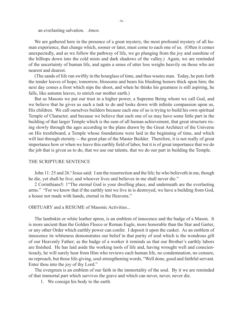an everlasting salvation. *Amen.*

We are gathered here in the presence of a great mystery, the most profound mystery of all human experience, that change which, sooner or later, must come to each one of us. (Often it comes unexpectedly, and as we follow the pathway of life, we go plunging from the joy and sunshine of the hilltops down into the cold mists and dark shadows of the valley.) Again, we are reminded of the uncertainty of human life, and again a sense of utter loss weighs heavily on those who are nearest and dearest.

(The sands of life run swiftly in the hourglass of time, and thus wastes man. Today, he puts forth the tender leaves of hope; tomorrow, blossoms and bears his blushing honors thick upon him; the next day comes a frost which nips the shoot, and when he thinks his greatness is still aspiring, he falls, like autumn leaves, to enrich our mother earth.)

But as Masons we put our trust in a higher power, a Supreme Being whom we call God, and we believe that he gives us each a task to do and looks down with infinite compassion upon us, His children. We call ourselves builders because each one of us is trying to build his own spiritual Temple of Character, and because we believe that each one of us may have some little part in the building of that larger Temple which is the sum of all human achievement, that great structure rising slowly through the ages according to the plans drawn by the Great Architect of the Universe on His trestleboard, a Temple whose foundations were laid in the beginning of time, and which will last through eternity -- the great plan of the Master Builder. Therefore, it is not really of great importance how or when we leave this earthly field of labor, but it is of great importance that we do the job that is given us to do, that we use our talents, that we do our part in building the Temple.

#### THE SCRIPTURE SENTENCE

John 11: 25 and 26."Jesus said: I am the resurrection and the life; he who believeth in me, though he die, yet shall he live; and whoever lives and believes in me shall never die."

 2 Corinthians5: 1"The eternal God is your dwelling place, and underneath are the everlasting arms." "For we know that if the earthly tent we live in is destroyed, we have a building from God, a house not made with hands, eternal in the Heavens."

#### OBITUARY and a RESUME of Masonic Activities...

The lambskin or white leather apron, is an emblem of innocence and the badge of a Mason. It is more ancient than the Golden Fleece or Roman Eagle, more honorable than the Star and Garter, or any other Order which earthly power can confer. I deposit it upon the casket. As an emblem of innocence its whiteness demonstrates our belief in that purity of soul which is the wondrous gift of our Heavenly Father; as the badge of a worker it reminds us that our Brother's earthly labors are finished. He has laid aside the working tools of life and, having wrought well and conscientiously, he will surely hear from Him who reviews each human life, no condemnation, no censure, no reproach, but those life-giving, soul-strengthening words, "Well done, good and faithful servant. Enter thou into the joy of thy Lord."

The evergreen is an emblem of our faith in the immortality of the soul. By it we are reminded of that immortal part which survives the grave and which can never, never, never die.

1. We consign his body to the earth.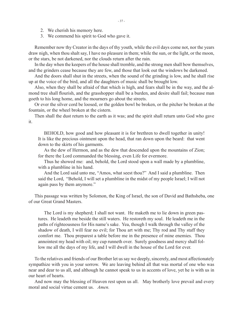- 2. We cherish his memory here.
- 3. We commend his spirit to God who gave it.

Remember now thy Creator in the days of thy youth, while the evil days come not, nor the years draw nigh, when thou shalt say, I have no pleasure in them; while the sun, or the light, or the moon, or the stars, be not darkened, nor the clouds return after the rain.

In the day when the keepers of the house shall tremble, and the strong men shall bow themselves, and the grinders cease because they are few, and those that look out the windows be darkened.

And the doors shall shut in the streets, when the sound of the grinding is low, and he shall rise up at the voice of the bird, and all the daughters of music shall be brought low.

Also, when they shall be afraid of that which is high, and fears shall be in the way, and the almond tree shall flourish, and the grasshopper shall be a burden, and desire shall fail; because man goeth to his long home, and the mourners go about the streets.

Or ever the silver cord be loosed, or the golden bowl be broken, or the pitcher be broken at the fountain, or the wheel broken at the cistern.

Then shall the dust return to the earth as it was; and the spirit shall return unto God who gave it.

BEHOLD, how good and how pleasant it is for brethren to dwell together in unity! It is like the precious ointment upon the head, that ran down upon the beard: that went down to the skirts of his garments.

As the dew of Hermon, and as the dew that descended upon the mountains of Zion; for there the Lord commanded the blessing, even Life for evermore.

Thus he showed me: and, behold, the Lord stood upon a wall made by a plumbline, with a plumbline in his hand.

And the Lord said unto me, "Amos, what seest thou?" And I said a plumbline. Then said the Lord, "Behold, I will set a plumbline in the midst of my people Israel; I will not again pass by them anymore."

This passage was written by Solomon, the King of Israel, the son of David and Bathsheba, one of our Great Grand Masters.

The Lord is my shepherd; I shall not want. He maketh me to lie down in green pastures. He leadeth me beside the still waters. He restoreth my soul. He leadeth me in the paths of righteousness for His name's sake. Yea, though I walk through the valley of the shadow of death, I will fear no evil; for Thou art with me; Thy rod and Thy staff they comfort me. Thou preparest a table before me in the presence of mine enemies. Thou annointest my head with oil; my cup runneth over. Surely goodness and mercy shall follow me all the days of my life, and I will dwell in the house of the Lord for ever.

To the relatives and friends of our Brother let us say we deeply, sincerely, and most affectionately sympathize with you in your sorrow. We are leaving behind all that was mortal of one who was near and dear to us all, and although he cannot speak to us in accents of love, yet he is with us in our heart of hearts.

And now may the blessing of Heaven rest upon us all. May brotherly love prevail and every moral and social virtue cement us. *Amen.*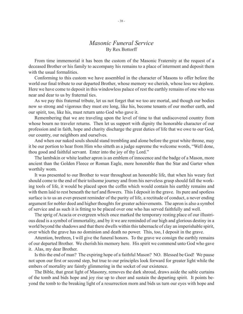### *Masonic Funeral Service* By Rex Bottorff

From time immemorial it has been the custom of the Masonic Fraternity at the request of a deceased Brother or his family to accompany his remains to a place of interment and deposit them with the usual formalities.

Conforming to this custom we have assembled in the character of Masons to offer before the world our final tribute to our departed Brother, whose memory we cherish, whose loss we deplore. Here we have come to deposit in this windowless palace of rest the earthly remains of one who was near and dear to us by fraternal ties.

As we pay this fraternal tribute, let us not forget that we too are mortal, and though our bodies now so strong and vigorous they must ere long, like his, become tenants of our mother earth, and our spirit, too, like his, must return unto God who gave it.

Remembering that we are traveling upon the level of time to that undiscovered country from whose bourn no traveler returns. Then let us support with dignity the honorable character of our profession and in faith, hope and charity discharge the great duties of life that we owe to our God, our country, our neighbors and ourselves.

And when our naked souls should stand trembling and alone before the great white throne, may it be our portion to hear from Him who sitteth as a judge supreme the welcome words, "Well done, thou good and faithful servant. Enter into the joy of thy Lord."

The lambskin or white leather apron is an emblem of innocence and the badge of a Mason, more ancient than the Golden Fleece or Roman Eagle, more honorable than the Star and Garter when worthily worn.

It was presented to our Brother to wear throughout an honorable life, that when his weary feet should come to the end of their toilsome journey and from his nerveless grasp should fall the working tools of life, it would be placed upon the coffin which would contain his earthly remains and with them laid to rest beneath the turf and flowers. This I deposit in the grave. Its pure and spotless surface is to us an ever-present reminder of the purity of life, a rectitude of conduct, a never ending argument for nobler deed and higher thoughts for greater achievements. The apron is also a symbol of service and as such it is fitting to be placed over one who has served faithfully and well.

The sprig of Acacia or evergreen which once marked the temporary resting place of our illustrious dead is a symbol of immortality, and by it we are reminded of our high and glorious destiny in a world beyond the shadows and that there dwells within this tabernacle of clay an imperishable spirit, over which the grave has no dominion and death no power. This, too, I deposit in the grave.

Attention, brethren, I will give the funeral honors. To the grave we consign the earthly remains of our departed Brother. We cherish his memory here. His spirit we commend unto God who gave it. Alas, my dear Brother.

Is this the end of man? The expiring hope of a faithful Mason? NO. Blessed be God! We pause not upon our first or second step, but true to our principles look forward for greater light while the embers of mortality are faintly glimmering in the socket of our existence.

The Bible, that great light of Masonry, removes the dark shroud, draws aside the sable curtains of the tomb and bids hope and joy rise up to cheer and sustain the departing spirit. It points beyond the tomb to the breaking light of a resurrection morn and bids us turn our eyes with hope and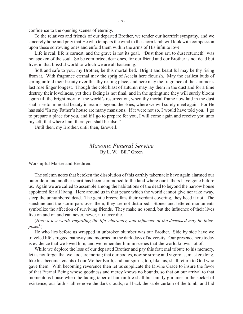confidence to the opening scenes of eternity.

To the relatives and friends of our departed Brother, we tender our heartfelt sympathy, and we sincerely hope and pray that He who tempers the wind to the shorn lamb will look with compassion upon these sorrowing ones and enfold them within the arms of His infinite love.

Life is real; life is earnest, and the grave is not its goal. "Dust thou art, to dust returneth" was not spoken of the soul. So be comforted, dear ones, for our friend and our Brother is not dead but lives in that blissful world to which we are all hastening.

Soft and safe to you, my Brother, be this mortal bed. Bright and beautiful may be thy rising from it. With fragrance eternal may the sprig of Acacia here flourish. May the earliest buds of spring unfold their beauty over this thy resting place, and here may the fragrance of the summer's last rose linger longest. Though the cold blast of autumn may lay them in the dust and for a time destroy their loveliness, yet their fading is not final, and in the springtime they will surely bloom again till the bright morn of the world's resurrection, when thy mortal frame now laid in the dust shall rise to immortal beauty in realms beyond the skies, where we will surely meet again. For He has said "In my Father's house are many mansions. If it were not so, I would have told you. I go to prepare a place for you, and if I go to prepare for you, I will come again and receive you unto myself, that where I am there you shall be also."

Until then, my Brother, until then, farewell.

## *Masonic Funeral Service* By L. W. "Bill" Green

Worshipful Master and Brethren:

The solemn notes that betoken the dissolution of this earthly tabernacle have again alarmed our outer door and another spirit has been summoned to the land where our fathers have gone before us. Again we are called to assemble among the habitations of the dead to beyond the narrow house appointed for all living. Here around us in that peace which the world cannot give nor take away, sleep the unnumbered dead. The gentle breeze fans their verdant covering, they heed it not. The sunshine and the storm pass over them, they are not disturbed. Stones and lettered monuments symbolize the affection of surviving friends. They make no sound, but the influence of their lives live on and on and can never, never, no never die.

(*Here a few words regarding the life, character, and influence of the deceased may be interposed.*)

He who lies before us wrapped in unbroken slumber was our Brother. Side by side have we traveled life's rugged pathway and mourned in the dark days of adversity. Our presence here today is evidence that we loved him, and we remember him in scenes that the world knows not of.

While we deplore the loss of our departed Brother and pay this fraternal tribute to his memory, let us not forget that we, too, are mortal; that our bodies, now so strong and vigorous, must ere long, like his, become tenants of our Mother Earth, and our spirits, too, like his, shall return to God who gave them. With becoming reverence then let us supplicate the Divine Grace to insure the favor of that Eternal Being whose goodness and mercy knows no bounds, so that on our arrival to that momentous house when the fading taper of human life shall but faintly glimmer in the socket of existence, our faith shall remove the dark clouds, roll back the sable curtain of the tomb, and bid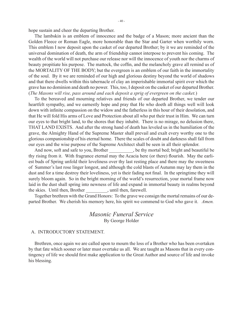hope sustain and cheer the departing Brother.

The lambskin is an emblem of innocence and the badge of a Mason; more ancient than the Golden Fleece or Roman Eagle, more honorable than the Star and Garter when worthily worn. This emblem I now deposit upon the casket of our departed Brother; by it we are reminded of the universal domination of death, the arm of friendship cannot interpose to prevent his coming. The wealth of the world will not purchase our release nor will the innocence of youth nor the charms of beauty propitiate his purpose. The mattock, the coffin, and the melancholy grave all remind us of the MORTALITY OF THE BODY; but the evergreen is an emblem of our faith in the immortality of the soul. By it we are reminded of our high and glorious destiny beyond the world of shadows and that there dwells within this tabernacle of clay an imperishable immortal spirit over which the grave has no dominion and death no power. This, too, I deposit on the casket of our departed Brother. (*The Masons will rise, pass around and each deposit a sprig of evergreen on the casket.*)

To the bereaved and mourning relatives and friends of our departed Brother, we tender our heartfelt sympathy, and we earnestly hope and pray that He who doeth all things well will look down with infinite compassion on the widow and the fatherless in this hour of their desolation, and that He will fold His arms of Love and Protection about all who put their trust in Him. We can turn our eyes to that bright land, to the shores that they inhabit. There is no mirage, no delusion there, THAT LAND EXISTS. And after the strong hand of death has leveled us in the humiliation of the grave, the Almighty Hand of the Supreme Master shall prevail and exalt every worthy one to the glorious companionship of his eternal home. There the scales of doubt and darkness shall fall from our eyes and the wise purpose of the Supreme Architect shall be seen in all their splendor.

And now, soft and safe to you, Brother \_\_\_\_\_\_\_\_, be thy mortal bed; bright and beautiful be thy rising from it. With fragrance eternal may the Acacia here (or there) flourish. May the earliest buds of Spring unfold their loveliness over thy last resting place and there may the sweetness of Summer's last rose linger longest, and although the cold blasts of Autumn may lay them in the dust and for a time destroy their loveliness, yet is their fading not final. In the springtime they will surely bloom again. So in the bright morning of the world's resurrection, your mortal frame now laid in the dust shall spring into newness of life and expand in immortal beauty in realms beyond the skies. Until then, Brother \_\_\_\_\_\_\_\_\_, until then, farewell. the skies. Until then, Brother

Together brethren with the Grand Honors: To the grave we consign the mortal remains of our departed Brother. We cherish his memory here, his spirit we commend to God who gave it. *Amen.*

## *Masonic Funeral Service* By George Holder

#### A. INTRODUCTORY STATEMENT.

Brethren, once again we are called upon to mourn the loss of a Brother who has been overtaken by that fate which sooner or later must overtake us all. We are taught as Masons that in every contingency of life we should first make application to the Great Author and source of life and invoke his blessing.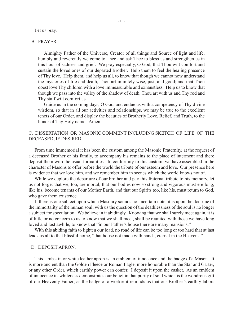#### Let us pray.

#### B. PRAYER

Almighty Father of the Universe, Creator of all things and Source of light and life, humbly and reverently we come to Thee and ask Thee to bless us and strengthen us in this hour of sadness and grief. We pray especially, O God, that Thou wilt comfort and sustain the loved ones of our departed Brother. Help them to feel the healing presence of Thy love. Help them, and help us all, to know that though we cannot now understand the mysteries of life and death, Thou art infinitely wise, just, and good; and that Thou doest love Thy children with a love immeasurable and exhaustless. Help us to know that though we pass into the valley of the shadow of death, Thou art with us and Thy rod and Thy staff wilt comfort us.

Guide us in the coming days, O God, and endue us with a competency of Thy divine wisdom, so that in all our activities and relationships, we may be true to the excellent tenets of our Order, and display the beauties of Brotherly Love, Relief, and Truth, to the honor of Thy Holy name. Amen.

### C. DISSERTATION OR MASONIC COMMENT INCLUDING SKETCH OF LIFE OF THE DECEASED, IF DESIRED.

From time immemorial it has been the custom among the Masonic Fraternity, at the request of a deceased Brother or his family, to accompany his remains to the place of interment and there deposit them with the usual formalities. In conformity to this custom, we have assembled in the character of Masons to offer before the world the tribute of our esteem and love. Our presence here is evidence that we love him, and we remember him in scenes which the world knows not of.

While we deplore the departure of our brother and pay this fraternal tribute to his memory, let us not forget that we, too, are mortal; that our bodies now so strong and vigorous must ere long, like his, become tenants of our Mother Earth, and that our Spirits too, like his, must return to God, who gave them existence.

If there is one subject upon which Masonry sounds no uncertain note, it is upon the doctrine of the immortality of the human soul; with us the question of the deathlessness of the soul is no longer a subject for speculation. We believe in it abidingly. Knowing that we shall surely meet again, it is of little or no concern to us to know that we shall meet, shall be reunited with those we have long loved and lost awhile, to know that "in our Father's house there are many mansions."

With this abiding faith to lighten our load, no road of life can be too long or too hard that at last leads us all to that blissful home, "that house not made with hands, eternal in the Heavens."

#### D. DEPOSIT APRON.

This lambskin or white leather apron is an emblem of innocence and the badge of a Mason. It is more ancient than the Golden Fleece or Roman Eagle, more honorable than the Star and Garter, or any other Order, which earthly power can confer. I deposit it upon the casket. As an emblem of innocence its whiteness demonstrates our belief in that purity of soul which is the wondrous gift of our Heavenly Father; as the badge of a worker it reminds us that our Brother's earthly labors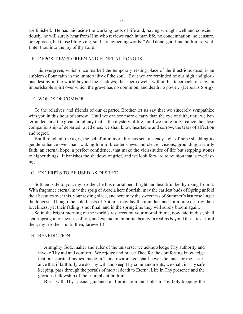are finished. He has laid aside the working tools of life and, having wrought well and conscientiously, he will surely hear from Him who reviews each human life, no condemnation, no censure, no reproach, but those life-giving, soul-strengthening words, "Well done, good and faithful servant. Enter thou into the joy of thy Lord."

#### E. DEPOSIT EVERGREEN AND FUNERAL HONORS.

This evergreen, which once marked the temporary resting place of the illustrious dead, is an emblem of our faith in the immortality of the soul. By it we are reminded of our high and glorious destiny in the world beyond the shadows; that there dwells within this tabernacle of clay an imperishable spirit over which the grave has no dominion, and death no power. (Deposits Sprig)

#### F. WORDS OF COMFORT.

To the relatives and friends of our departed Brother let us say that we sincerely sympathize with you in this hour of sorrow. Until we can see more clearly than the eye of faith, until we better understand the great simplicity that is the mystery of life, until we more fully realize the close companionship of departed loved ones, we shall know heartache and sorrow, the tears of affection and regret.

But through all the ages, the belief in immortality has sent a steady light of hope shedding its gentle radiance over man, waking him to broader views and clearer visions, grounding a sturdy faith, an eternal hope, a perfect confidence, that make the vicissitudes of life but stepping stones to higher things. It banishes the shadows of grief, and we look forward to reunion that is everlasting.

#### G. EXCERPTS TO BE USED AS DESIRED.

Soft and safe to you, my Brother, be this mortal bed; bright and beautiful be thy rising from it. With fragrance eternal may the sprig of Acacia here flourish; may the earliest buds of Spring unfold their beauties over this, your resting place, and here may the sweetness of Summer's last rose linger the longest. Though the cold blasts of Autumn may lay them in dust and for a time destroy their loveliness, yet their fading is not final, and in the springtime they will surely bloom again.

So in the bright morning of the world's resurrection your mortal frame, now laid in dust, shall again spring into newness of life, and expand in immortal beauty in realms beyond the skies. Until then, my Brother - until then, farewell!!

#### H. BENEDICTION.

Almighty God, maker and ruler of the universe, we acknowledge Thy authority and invoke Thy aid and comfort. We rejoice and praise Thee for the comforting knowledge that our spiritual bodies, made in Thine own image, shall never die, and for the assurance that if faithfully we do Thy will and keep Thy commandments, we shall, in Thy safe keeping, pass through the portals of mortal death to Eternal Life in Thy presence and the glorious fellowship of the triumphant faithful.

Bless with Thy special guidance and protection and hold in Thy holy keeping the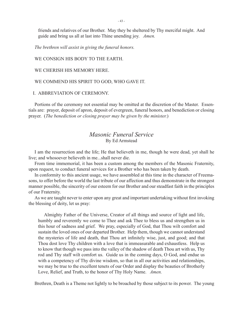friends and relatives of our Brother. May they be sheltered by Thy merciful might. And guide and bring us all at last into Thine unending joy. *Amen.*

*The brethren will assist in giving the funeral honors.*

#### WE CONSIGN HIS BODY TO THE EARTH.

#### WE CHERISH HIS MEMORY HERE.

#### WE COMMEND HIS SPIRIT TO GOD, WHO GAVE IT.

#### I. ABBREVIATION OF CEREMONY.

Portions of the ceremony not essential may be omitted at the discretion of the Master. Essentials are: prayer, deposit of apron, deposit of evergreen, funeral honors, and benediction or closing prayer. (*The benediction or closing prayer may be given by the minister.*)

## *Masonic Funeral Service* By Ed Armstead

I am the resurrection and the life; He that believeth in me, though he were dead, yet shall he live; and whosoever believeth in me...shall never die.

From time immemorial, it has been a custom among the members of the Masonic Fraternity, upon request, to conduct funeral services for a Brother who has been taken by death.

In conformity to this ancient usage, we have assembled at this time in the character of Freemasons, to offer before the world the last tribute of our affection and thus demonstrate in the strongest manner possible, the sincerity of our esteem for our Brother and our steadfast faith in the principles of our Fraternity.

As we are taught never to enter upon any great and important undertaking without first invoking the blessing of deity, let us pray:

Almighty Father of the Universe, Creator of all things and source of light and life, humbly and reverently we come to Thee and ask Thee to bless us and strengthen us in this hour of sadness and grief. We pray, especially of God, that Thou wilt comfort and sustain the loved ones of our departed Brother. Help them, though we cannot understand the mysteries of life and death, that Thou art infinitely wise, just, and good; and that Thou dost love Thy children with a love that is immeasurable and exhaustless. Help us to know that though we pass into the valley of the shadow of death Thou art with us, Thy rod and Thy staff wilt comfort us. Guide us in the coming days, O God, and endue us with a competency of Thy divine wisdom, so that in all our activities and relationships, we may be true to the excellent tenets of our Order and display the beauties of Brotherly Love, Relief, and Truth, to the honor of Thy Holy Name. *Amen.*

Brethren, Death is a Theme not lightly to be broached by those subject to its power. The young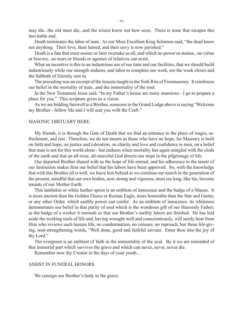may die...the old must die...and the wisest know not how soon. There is none that escapes this inevitable end.

Death terminates the labor of man. As our Most Excellent King Solomon said, "the dead know not anything. Their love, their hatred, and their envy is now perished."

Death is a fate that must sooner or later overtake us all, and which no power or station...no virtue or bravery...no tears or friends or agonies of relatives can avert.

What an incentive is this to an industrious use of our time and our facilities, that we should build industriously while our strength endures, and labor to complete our work, ere the week closes and the Sabbath of Eternity sets in.

The preceding was an excerpt of the lessons taught in the York Rite of Freemasonry. It reinforces our belief in the mortality of man...and the immortality of the soul.

In the New Testament Jesus said, "In my Father's house are many mansions - I go to prepare a place for you." This scripture gives us a vision.

As we are bidding farewell to a Brother, someone in the Grand Lodge above is saying "Welcome my Brother - follow Me and I will seat you with the Craft."

#### MASONIC OBITUARY HERE.

My friends, it is through the Gate of Death that we find an entrance to the place of wages, refreshment, and rest. Therefore, we do not mourn as those who have no hope, for Masonry is built on faith and hope, on justice and toleration, on charity and love and confidence in men, on a belief that man is not for this world alone - but endures when mortality has again mingled with the clods of the earth and that an all-wise, all-merciful God directs our steps in the pilgrimage of life.

Our departed Brother shared with us the hope of life eternal, and his adherence to the tenets of our Institution makes firm our belief that his labors have been approved. So, with the knowledge that with this Brother all is well, we leave him behind as we continue our march in the generation of the present, mindful that our own bodies, now strong and vigorous, must ere long, like his, become tenants of our Mother Earth.

This lambskin or white leather apron is an emblem of innocence and the badge of a Mason. It is more ancient than the Golden Fleece or Roman Eagle, more honorable than the Star and Garter, or any other Order, which earthly power can confer. As an emblem of innocence, its whiteness demonstrates our belief in that purity of soul which is the wondrous gift of our Heavenly Father; as the badge of a worker it reminds us that our Brother's earthly labors are finished. He has laid aside the working tools of life and, having wrought well and conscientiously, will surely hear from Him who reviews each human life, no condemnation, no censure, no reproach, but those life-giving, soul-strengthening words, "Well done, good and faithful servant. Enter thou into the joy of thy Lord."

The evergreen is an emblem of faith in the immortality of the soul. By it we are reminded of that immortal part which survives the grave and which can never, never, never die.

Remember now thy Creator in the days of your youth...

#### ASSIST IN FUNERAL HONORS

We consign our Brother's body to the grave.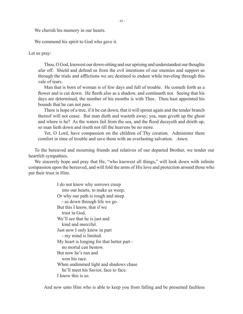We cherish his memory in our hearts.

We commend his spirit to God who gave it.

Let us pray:

Thou, O God, knowest our down-sitting and our uprising and understandest our thoughts afar off. Shield and defend us from the evil intentions of our enemies and support us through the trials and afflictions we are destined to endure while traveling through this vale of tears.

Man that is born of woman is of few days and full of trouble. He cometh forth as a flower and is cut down. He fleeth also as a shadow, and continueth not. Seeing that his days are determined, the number of his months is with Thee. Thou hast appointed his bounds that he can not pass.

There is hope of a tree, if it be cut down, that it will sprout again and the tender branch thereof will not cease. But man dieth and wasteth away; yea, man giveth up the ghost and where is he? As the waters fail from the sea, and the flood decayeth and drieth up, so man lieth down and riseth not till the heavens be no more.

Yet, O Lord, have compassion on the children of Thy creation. Administer them comfort in time of trouble and save them with an everlasting salvation. *Amen.*

To the bereaved and mourning friends and relatives of our departed Brother, we tender our heartfelt sympathies.

We sincerely hope and pray that He, "who knowest all things," will look down with infinite compassion upon the bereaved, and will fold the arms of His love and protection around those who put their trust in Him.

> I do not know why sorrows creep into our hearts, to make us weep, Or why our path is rough and steep - as down through life we go. But this I know, that if we trust in God, We'll see that he is just and kind and merciful. Just now I only know in part - my mind is limited. My heart is longing for that better part no mortal can bestow. But now he's run and won his race. When undimmed light and shadows chase he'll meet his Savior, face to face. I know this is so.

And now unto Him who is able to keep you from falling and be presented faultless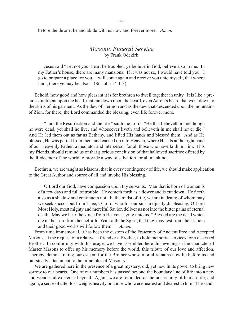- 46 -

before the throne, be and abide with us now and forever more. *Amen.*

## *Masonic Funeral Service* by Frank Odekirk

Jesus said "Let not your heart be troubled, ye believe in God, believe also in me. In my Father's house, there are many mansions. If it was not so, I would have told you. I go to prepare a place for you. I will come again and receive you unto myself, that where I am, there ye may be also." (St. John 14-1-3)

Behold, how good and how pleasant it is for brethren to dwell together in unity. It is like a precious ointment upon the head, that ran down upon the beard, even Aaron's beard that went down to the skirts of his garment. As the dew of Hermon and as the dew that descended upon the mountains of Zion, for there, the Lord commanded the blessing, even life forever more.

"I am the Resurrection and the life," saith the Lord. "He that believeth in me though he were dead, yet shall he live, and whosoever liveth and believeth in me shall never die." And He led them out as far as Bethany, and lifted His hands and blessed them. And as He blessed, He was parted from them and carried up into Heaven, where He sits at the right hand of our Heavenly Father, a mediator and intercessor for all those who have faith in Him. This my friends, should remind us of that glorious conclusion of that hallowed sacrifice offered by the Redeemer of the world to provide a way of salvation for all mankind.

Brethren, we are taught as Masons, that in every contingency of life, we should make application to the Great Author and source of all and invoke His blessing.

O Lord our God, have compassion upon thy servants. Man that is born of woman is of a few days and full of trouble. He cometh forth as a flower and is cut down. He fleeth also as a shadow and continueth not. In the midst of life, we are in death; of whom may we seek succor but from Thee, O Lord, who for our sins are justly displeasing, O Lord Most Holy, most mighty and merciful Savior, deliver us not into the bitter pains of eternal death. May we hear the voice from Heaven saying unto us, "Blessed are the dead which die in the Lord from henceforth. Yea, saith the Spirit, that they may rest from their labors and their good works will follow them." *Amen.*

From time immemorial, it has been the custom of the Fraternity of Ancient Free and Accepted Masons, at the request of a relative, a friend or a Brother, to hold memorial services for a deceased Brother. In conformity with this usage, we have assembled here this evening in the character of Master Masons to offer up his memory before the world, this tribute of our love and affection. Thereby, demonstrating our esteem for the Brother whose mortal remains now lie before us and our steady attachment to the principles of Masonry.

We are gathered here in the presence of a great mystery, old, yet new in its power to bring new sorrow to our hearts. One of our numbers has passed beyond the boundary line of life into a new and wonderful existence beyond. Again, we are reminded of the uncertainty of human life, and again, a sense of utter loss weighs heavily on those who were nearest and dearest to him. The sands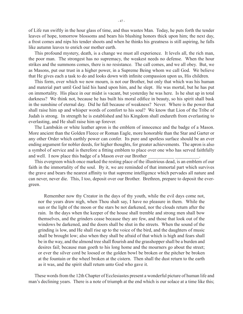of Life run swiftly in the hour glass of time, and thus wastes Man. Today, he puts forth the tender leaves of hope, tomorrow blossoms and bears his blushing honors thick upon him; the next day, a frost comes and nips his tender shoots and when he thinks his greatness is still aspiring, he falls like autumn leaves to enrich our mother earth.

This profound mystery, death, is a change we must all experience. It levels all, the rich man, the poor man. The strongest has no supremacy, the weakest needs no defense. When the hour strikes and the summons comes, there is no resistance. The call comes, and we all obey. But, we as Masons, put our trust in a higher power, in a Supreme Being whom we call God. We believe that He gives each a task to do and looks down with infinite compassion upon us, His children.

This form, over which we now mourn, is not our Brother, but only that which was his human and material part until God laid his hand upon him, and he slept. He was mortal, but he has put on immortality. His place in our midst is vacant, but yesterday he was here. Is he shut up in total darkness? We think not, because he has built his moral edifice in beauty, so his spirit shall bask in the sunshine of eternal day. Did he fall because of weakness? Never. Where is the power that shall raise him up and whisper words of comfort to his soul? We know that Lion of the Tribe of Judah is strong. In strength he is established and his Kingdom shall endureth from everlasting to everlasting, and He shall raise him up forever.

The Lambskin or white leather apron is the emblem of innocence and the badge of a Mason. More ancient than the Golden Fleece or Roman Eagle, more honorable than the Star and Garter or any other Order which earthly power can confer. Its pure and spotless surface should be an ever ending argument for nobler deeds, for higher thoughts, for greater achievements. The apron is also a symbol of service and is therefore a fitting emblem to place over one who has served faithfully and well. I now place this badge of a Mason over our Brother

This evergreen which once marked the resting place of the illustrious dead, is an emblem of our faith in the immortality of the soul. By it, we are reminded of that immortal part which survives the grave and bears the nearest affinity to that supreme intelligence which pervades all nature and can never, never die. This, I too, deposit over our Brother. Brethren, prepare to deposit the evergreen.

Remember now thy Creator in the days of thy youth, while the evil days come not, nor the years draw nigh, when Thou shalt say, I have no pleasure in them. While the sun or the light of the moon or the stars be not darkened, nor the clouds return after the rain. In the days when the keeper of the house shall tremble and strong men shall bow themselves, and the grinders cease because they are few, and those that look out of the windows be darkened, and the doors shall be shut in the streets. When the sound of the grinding is low, and He shall rise up to the voice of the bird, and the daughters of music shall be brought low; also when they shall be afraid of that which is high and fears shall be in the way, and the almond tree shall flourish and the grasshopper shall be a burden and desires fail; because man goeth to his long home and the mourners go about the street; or ever the silver cord be loosed or the golden bowl be broken or the pitcher be broken at the fountain or the wheel broken at the cistern. Then shall the dust return to the earth as it was, and the spirit shall return unto God who gave it.

These words from the 12th Chapter of Ecclesiastes present a wonderful picture of human life and man's declining years. There is a note of triumph at the end which is our solace at a time like this;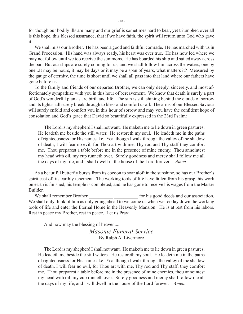for though our bodily ills are many and our grief is sometimes hard to bear, yet triumphed over all is this hope, this blessed assurance, that if we have faith, the spirit will return unto God who gave it.

We shall miss our Brother. He has been a good and faithful comrade. He has marched with us in Grand Procession. His hand was always ready, his heart was ever true. He has now led where we may not follow until we too receive the summons. He has boarded his ship and sailed away across the bar. But our ships are surely coming for us, and we shall follow him across the waters, one by one...It may be hours, it may be days or it may be a span of years, what matters it? Measured by the gauge of eternity, the time is short until we shall all pass into that land where our fathers have gone before us.

To the family and friends of our departed Brother, we can only deeply, sincerely, and most affectionately sympathize with you in this hour of bereavement. We know that death is surely a part of God's wonderful plan as are birth and life. The sun is still shining behind the clouds of sorrow and its light shall surely break through to bless and comfort us all. The arms of our Blessed Saviour will surely enfold and comfort you in this hour of sorrow and may you have the confident hope of consolation and God's grace that David so beautifully expressed in the 23rd Psalm:

The Lord is my shepherd I shall not want. He maketh me to lie down in green pastures. He leadeth me beside the still water. He restoreth my soul. He leadeth me in the paths of righteousness for His namesake. Yea, though I walk through the valley of the shadow of death, I will fear no evil, for Thou art with me, Thy rod and Thy staff they comfort me. Thou preparest a table before me in the presence of mine enemy. Thou annointest my head with oil, my cup runneth over. Surely goodness and mercy shall follow me all the days of my life, and I shall dwell in the house of the Lord forever. *Amen.*

As a beautiful butterfly bursts from its cocoon to soar aloft in the sunshine, so has our Brother's spirit cast off its earthly tenement. The working tools of life have fallen from his grasp, his work on earth is finished, his temple is completed, and he has gone to receive his wages from the Master Builder.

We shall remember Brother The state of this good deeds and our association. We shall only think of him as only going ahead to welcome us when we too lay down the working tools of life and enter the Eternal Home in the Heavenly Mansion. He is at rest from his labors. Rest in peace my Brother, rest in peace. Let us Pray:

And now may the blessing of heaven....

*Masonic Funeral Service* By Ralph A. Livermore

The Lord is my shepherd I shall not want. He maketh me to lie down in green pastures. He leadeth me beside the still waters. He restoreth my soul. He leadeth me in the paths of righteousness for His namesake. Yea, though I walk through the valley of the shadow of death, I will fear no evil, for Thou art with me, Thy rod and Thy staff, they comfort me. Thou preparest a table before me in the presence of mine enemies, thou annointest my head with oil, my cup runneth over. Surely goodness and mercy shall follow me all the days of my life, and I will dwell in the house of the Lord forever. *Amen.*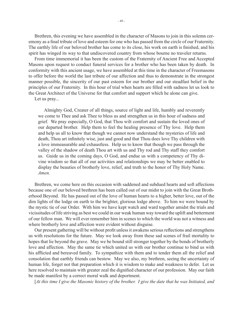Brethren, this evening we have assembled in the character of Masons to join in this solemn ceremony as a final tribute of love and esteem for one who has passed from the circle of our Fraternity. The earthly life of our beloved brother has come to its close, his work on earth is finished, and his spirit has winged its way to that undiscovered country from whose bourne no traveler returns.

From time immemorial it has been the custom of the Fraternity of Ancient Free and Accepted Masons upon request to conduct funeral services for a brother who has been taken by death. In conformity with this ancient usage, we have assembled at this time in the character of Freemasons to offer before the world the last tribute of our affection and thus to demonstrate in the strongest manner possible, the sincerity of our past esteem for our brother and our steadfast belief in the principles of our Fraternity. In this hour of trial when hearts are filled with sadness let us look to the Great Architect of the Universe for that comfort and support which he alone can give.

Let us pray...

Almighty God, Creater of all things, source of light and life, humbly and reverently we come to Thee and ask Thee to bless us and strengthen us in this hour of sadness and grief. We pray especially, O God, that Thou wilt comfort and sustain the loved ones of our departed brother. Help them to feel the healing presence of Thy love. Help them and help us all to know that though we cannot now understand the mysteries of life and death, Thou art infinitely wise, just and good and that Thou does love Thy children with a love immeasurable and exhaustless. Help us to know that though we pass through the valley of the shadow of death Thou art with us and Thy rod and Thy staff they comfort us. Guide us in the coming days, O God, and endue us with a competency of Thy divine wisdom so that all of our activities and relationships we may be better enabled to display the beauties of brotherly love, relief, and truth to the honor of Thy Holy Name. *Amen.*

Brethren, we come here on this occasion with saddened and subdued hearts and soft affections because one of our beloved brethren has been called out of our midst to join with the Great Brotherhood Beyond. He has passed out of the love of human hearts to a higher, better love, out of the dim lights of the lodge on earth to the brighter, glorious lodge above. To him we were bound by the mystic tie of our Order. With him we have kept watch and ward together amidst the trials and vicissitudes of life striving as best we could in our weak human way toward the uplift and betterment of our fellow man. We will ever remember him in scenes to which the world was not a witness and where brotherly love and affection were evident without disguise.

Our present gathering will be without profit unless it awakens serious reflections and strengthens us with resolutions for the future. May we look away from these sad scenes of frail mortality to hopes that lie beyond the grave. May we be bound still stronger together by the bonds of brotherly love and affection. May the same tie which united us with our brother continue to bind us with his afflicted and bereaved family. To sympathize with them and to tender them all the relief and consolation that earthly friends can bestow. May we also, my brethren, seeing the uncertainty of human life, forget not that preparation which it is wisdom to make and weakness to defer. Let us here resolved to maintain with greater zeal the dignified character of our profession. May our faith be made manifest by a correct moral walk and deportment.

[*At this time I give the Masonic history of the brother. I give the date that he was Initiated, and*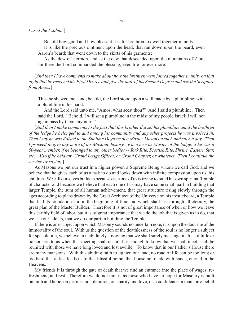Behold how good and how pleasant it is for brethren to dwell together in unity.

It is like the precious ointment upon the head, that ran down upon the beard, even Aaron's beard; that went down to the skirts of his garments;

As the dew of Hermon, and as the dew that descended upon the mountains of Zion; for there the Lord commanded the blessing, even life for evermore.

[*And then I have comments to make about how the brethren were joined together in unity on that night that he received his First Degree and give the date of his Second Degree and use the Scripture from Amos:*]

Thus he shewed me: and, behold, the Lord stood upon a wall made by a plumbline, with a plumbline in his hand.

And the Lord said unto me, "Amos, what seest thou?" And I said a plumbline. Then said the Lord, "Behold, I will set a plumbline in the midst of my people Israel; I will not again pass by them anymore."

[And then I make comments to the fact that this brother did set his plumbline amid the brethren *of the lodge he belonged to and among his community and any other projects he was involved in. Then I say he was Raised to the Sublime Degreee of a Master Mason on such and such a day. Then I proceed to give any more of his Masonic history: when he was Master of the lodge, if he was a 50-year member, if he belonged to any other bodies -- York Rite, Scottish Rite, Shrine, Eastern Star, etc. Also if he held any Grand Lodge Offices, or Grand Chapter, or whatever. Then I continue the service by saying.*]

As Masons we put our trust in a higher power, a Supreme Being whom we call God, and we believe that he gives each of us a task to do and looks down with infinite compassion upon us, his children. We call ourselves builders because each one of us is trying to build his own spiritual Temple of character and because we believe that each one of us may have some small part in building that larger Temple, the sum of all human achievement, that great structure rising slowly through the ages according to plans drawn by the Great Architect of the Universe on his trestleboard, a Temple that had its foundation laid in the beginning of time and which shall last through all eternity, the great plan of the Master Builder. Therefore it is not of great importance of when or how we leave this earthly field of labor, but it is of great importance that we do the job that is given us to do, that we use our talents, that we do our part in building the Temple.

If there is one subject upon which Masonry sounds no uncertain note, it is upon the doctrine of the immortality of the soul. With us the question of the deathlessness of the soul is no longer a subject for speculation, we believe in it abidingly, knowing that we shall surely meet again. It is of little or no concern to us when that meeting shall occur. It is enough to know that we shall meet, shall be reunited with those we have long loved and lost awhile. To know that in our Father's House there are many mansions. With this abiding faith to lighten our load, no road of life can be too long or too hard that at last leads us to that blissful home, that house not made with hands, eternal in the Heavens.

My friends it is through the gate of death that we find an entrance into the place of wages, refreshment, and rest. Therefore we do not mourn as those who have no hope for Masonry is built on faith and hope, on justice and toleration, on charity and love, on a confidence in man, on a belief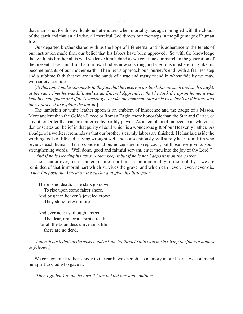that man is not for this world alone but endures when mortality has again mingled with the clouds of the earth and that an all wise, all merciful God directs our footsteps in the pilgrimage of human life.

Our departed brother shared with us the hope of life eternal and his adherance to the tenets of our institution made firm our belief that his labors have been approved. So with the knowledge that with this brother all is well we leave him behind as we continue our march in the generation of the present. Ever mindful that our own bodies now so strong and vigorous must ere long like his become tenants of our mother earth. Then let us approach our journey's end with a fearless step and a sublime faith that we are in the hands of a true and trusty friend in whose fidelity we may, with safety, confide.

[*At this time I make comments to the fact that he received his lambskin on such and such a night, at the same time he was Initiated as an Entered Apprentice, that he took the apron home, it was kept in a safe place and if he is wearing it I make the comment that he is wearing it at this time and then I proceed to explain the apron.*]

The lambskin or white leather apron is an emblem of innocence and the badge of a Mason. More ancient than the Golden Fleece or Roman Eagle, more honorable than the Star and Garter, or any other Order that can be conferred by earthly power. As an emblem of innocence its whiteness demonstrates our belief in that purity of soul which is a wonderous gift of our Heavenly Father. As a badge of a worker it reminds us that our brother's earthly labors are finished. He has laid aside the working tools of life and, having wrought well and conscentiously, will surely hear from Him who reviews each human life, no condemnation, no censure, no reproach, but those live-giving, soulstrengthening words, "Well done, good and faithful servant, enter thou into the joy of thy Lord."

[*And if he is wearing his apron I then keep it but if he is not I deposit it on the casket.*]

The cacia or evergreen is an emblem of our faith in the immortality of the soul, by it we are reminded of that immortal part which survives the grave, and which can never, never, never die. [*Then I deposit the Acacia on the casket and give this little poem.*]

There is no death. The stars go down To rise upon some fairer shore, And bright in heaven's jeweled crown They shine forevermore.

And ever near us, though unseen, The dear, immortal spirits tread; For all the boundless universe is life - there are no dead.

[*I then deposit that on the casket and ask the brethren to join with me in giving the funeral honors as follows:*]

We consign our brother's body to the earth, we cherish his memory in our hearts, we command his spirit to God who gave it.

[*Then I go back to the lecturn if I am behind one and continue.*]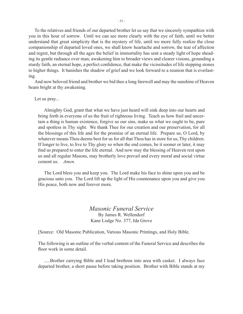To the relatives and friends of our departed brother let us say that we sincerely sympathize with you in this hour of sorrow. Until we can see more clearly with the eye of faith, until we better understand that great simplicity that is the mystery of life, until we more fully realize the close companionship of departed loved ones, we shall know heartache and sorrow, the tear of affection and regret, but through all the ages the belief in immortality has sent a steady light of hope sheading its gentle radiance over man, awakening him to broader views and clearer visions, grounding a sturdy faith, an eternal hope, a perfect confidence, that make the vicissitudes of life stepping stones to higher things. It banishes the shadow of grief and we look forward to a reunion that is everlasting.

And now beloved friend and brother we bid thee a long farewell and may the sunshine of Heaven beam bright at thy awakening.

#### Let us pray...

Almighty God, grant that what we have just heard will sink deep into our hearts and bring forth in everyone of us the fruit of righteous living. Teach us how frail and uncertain a thing is human existence, forgive us our sins, make us what we ought to be, pure and spotless in Thy sight. We thank Thee for our creation and our preservation, for all the blessings of this life and for the promise of an eternal life. Prepare us, O Lord, by whatever means Thou deems best for us for all that Thou has in store for us, Thy children. If longer to live, to live to Thy glory so when the end comes, be it sooner or later, it may find us prepared to enter the life eternal. And now may the blessing of Heaven rest upon us and all regular Masons, may brotherly love prevail and every moral and social virtue cement us. *Amen.*

The Lord bless you and keep you. The Lord make his face to shine upon you and be gracious unto you. The Lord lift up the light of His countenance upon you and give you His peace, both now and forever more.

### *Masonic Funeral Service* By James R. Wellendorf Kane Lodge No. 377, Ida Grove

[Source: Old Masonic Publication, Various Masonic Printings, and Holy Bible.

The following is an outline of the verbal content of the Funeral Service and describes the floor work in some detail.

.....Brother carrying Bible and I lead brethren into area with casket. I always face departed brother, a short pause before taking position. Brother with Bible stands at my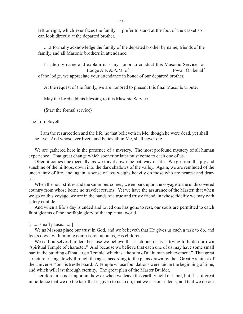left or right, which ever faces the family. I prefer to stand at the foot of the casket so I can look directly at the departed brother.

.....I formally acknowledge the family of the departed brother by name, friends of the family, and all Masonic brothers in attendance.

I state my name and explain it is my honor to conduct this Masonic Service for Lodge A.F. & A.M. of \_\_\_\_\_\_\_\_\_\_\_\_\_\_\_\_\_\_\_\_\_\_\_, Iowa. On behalf of the lodge, we appreciate your attendance in honor of our departed brother.

At the request of the family, we are honored to present this final Masonic tribute.

May the Lord add his blessing to this Masonic Service.

(Start the formal service)

The Lord Sayeth:

I am the resurrection and the life, he that believeth in Me, though he were dead, yet shall he live. And whosoever liveth and believeth in Me, shall never die.

We are gathered here in the presence of a mystery. The most profound mystery of all human experience. That great change which sooner or later must come to each one of us.

Often it comes unexpectedly, as we travel down the pathway of life. We go from the joy and sunshine of the hilltops, down into the dark shadows of the valley. Again, we are reminded of the uncertainty of life, and, again, a sense of loss weighs heavily on those who are nearest and dearest.

When the hour strikes and the summons comes, we embark upon the voyage to the undiscovered country from whose borne no traveler returns. Yet we have the assurance of the Master, that when we go on this voyage, we are in the hands of a true and trusty friend, in whose fidelity we may with safety confide.

And when a life's day is ended and loved one has gone to rest, our souls are permitted to catch faint gleams of the ineffable glory of that spiritual world.

[........small pause........]

We as Masons place our trust in God, and we believeth that He gives us each a task to do, and looks down with infinite compassion upon us, His children.

We call ourselves builders because we believe that each one of us is trying to build our own "spiritual Temple of character." And because we believe that each one of us may have some small part in the building of that larger Temple, which is "the sum of all human achievement." That great structure, rising slowly through the ages, according to the plans drawn by the "Great Architect of the Universe," on his trestle board. A Temple whose foundations were laid in the beginning of time, and which will last through eternity. The great plan of the Master Builder.

Therefore, it is not important how or when we leave this earthly field of labor, but it is of great importance that we do the task that is given to us to do, that we use our talents, and that we do our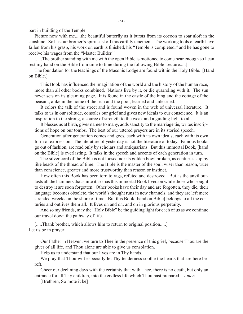part in building of the Temple.

Picture now with me.....the beautiful butterfly as it bursts from its cocoon to soar aloft in the sunshine. So has our brother's spirit cast off this earthly tenement. The working tools of earth have fallen from his grasp, his work on earth is finished, his "Temple is completed," and he has gone to receive his wages from the "Master Builder."

[.....The brother standing with me with the open Bible is motioned to come near enough so I can rest my hand on the Bible from time to time during the following Bible Lecture.....]

The foundation for the teachings of the Masonic Lodge are found within the Holy Bible. [Hand on Bible.]

This Book has influenced the imagination of the world and the history of the human race, more than all other books combined. Nations live by it, or die quarreling with it. The sun never sets on its gleaming page. It is found in the castle of the king and the cottage of the peasant, alike in the home of the rich and the poor, learned and unlearned.

It colors the talk of the street and is found woven in the web of universal literature. It talks to us in our solitude, consoles our grief and gives new ideals to our conscience. It is an inspiration to the strong, a source of strength to the weak and a guiding light to all.

It blesses us at birth, gives names to many, adds sanctity to the marriage tie, writes inscriptions of hope on our tombs. The best of our uttered prayers are in its storied speech.

Generation after generation comes and goes, each with its own ideals, each with its own form of expression. The literature of yesterday is not the literature of today. Famous books go out of fashion, are read only by scholars and antiquarians. But this immortal Book, [hand on the Bible] is everlasting. It talks in the speech and accents of each generation in turn.

The silver cord of the Bible is not loosed nor its golden bowl broken, as centuries slip by like beads of the thread of time. The Bible is the master of the soul, wiser than reason, truer than conscience, greater and more trustworthy than reason or instinct.

How often this Book has been torn to rags, refuted and destroyed. But as the anvil outlasts all the hammers that smite it, so has this immortal Book lived on while those who sought to destroy it are soon forgotten. Other books have their day and are forgotten, they die, their language becomes obsolete, the world's thought runs in new channels, and they are left mere stranded wrecks on the shore of time. But this Book [hand on Bible] belongs to all the centuries and outlives them all. It lives on and on, and on in glorious perpetuity.

And so my friends, may the "Holy Bible" be the guiding light for each of us as we continue our travel down the pathway of life.

[.....Thank brother, which allows him to return to original position.....] Let us be in prayer:

Our Father in Heaven, we turn to Thee in the presence of this grief, because Thou are the giver of all life, and Thou alone are able to give us consolation.

Help us to understand that our lives are in Thy hands.

We pray that Thou wilt especially let Thy tenderness soothe the hearts that are here bereft.

Cheer our declining days with the certainty that with Thee, there is no death, but only an entrance for all Thy children, into the endless life which Thou hast prepared. *Amen.*

[Brethren, So mote it be]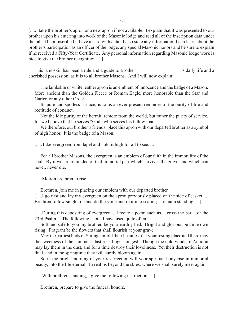[.....] take the brother's apron or a new apron if not available. I explain that it was presented to our brother upon his entering into work of the Masonic lodge and read all of the inscription data under the bib. If not inscribed, I have a card with data. I also state any information I can learn about the brother's participation as an officer of the lodge, any special Masonic honors and be sure to explain if he received a Fifty-Year Certificate. Any personal information regarding Masonic lodge work is nice to give the brother recognition.....]

This lambskin has been a rule and a guide to Brother  $\cdot$  's daily life and a cherished possession, as it is to all brother Masons. And I will now explain:

The lambskin or white leather apron is an emblem of innocence and the badge of a Mason. More ancient than the Golden Fleece or Roman Eagle, more honorable than the Star and Garter, or any other Order.

Its pure and spotless surface, is to us an ever present reminder of the purity of life and rectitude of conduct.

Not the idle purity of the hermit, remote from the world, but rather the purity of service, for we believe that he serves "God" who serves his fellow man.

We therefore, our brother's friends, place this apron with our departed brother as a symbol of high honor. It is the badge of a Mason.

[.....Take evergreen from lapel and hold it high for all to see.....]

For all brother Masons, the evergreen is an emblem of our faith in the immorality of the soul. By it we are reminded of that immortal part which survives the grave, and which can never, never die.

[.....Motion brethren to rise.....]

Brethren, join me in placing our emblem with our departed brother.

[.....] go first and lay my evergreen on the apron previously placed on the side of casket..... Brethren follow single file and do the same and return to seating......remain standing.....]

[.....During this depositing of evergreen.....I recite a poem such as.....cross the bar.....or the 23rd Psalm.....The following is one I have used quite often.....]

Soft and safe to you my brother, be your earthly bed. Bright and glorious be thine own rising. Fragrant be the flowers that shall flourish at your grave.

May the earliest buds of Spring, unfold their beauties o'er your resting place and there may the sweetness of the summer's last rose linger longest. Though the cold winds of Autumn may lay them in the dust, and for a time destroy their loveliness. Yet their destruction is not final, and in the springtime they will surely bloom again.

So in the bright morning of your resurrection will your spiritual body rise in immortal beauty, into the life eternal. In realms beyond the skies, where we shall surely meet again.

[.....With brethren standing, I give the following instruction.....]

Brethren, prepare to give the funeral honors.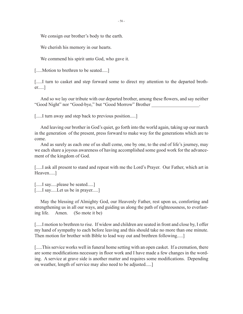We consign our brother's body to the earth.

We cherish his memory in our hearts.

We commend his spirit unto God, who gave it.

[.....Motion to brethren to be seated.....]

[.....] turn to casket and step forward some to direct my attention to the departed brother.....]

And so we lay our tribute with our departed brother, among these flowers, and say neither "Good Night" nor "Good-bye," but "Good Morrow" Brother \_\_\_\_\_\_\_\_\_\_\_\_\_\_\_\_\_\_\_\_.

[....] turn away and step back to previous position....]

And leaving our brother in God's quiet, go forth into the world again, taking up our march in the generation of the present, press forward to make way for the generations which are to come.

And as surely as each one of us shall come, one by one, to the end of life's journey, may we each share a joyous awareness of having accomplished some good work for the advancement of the kingdom of God.

[.....I ask all present to stand and repeat with me the Lord's Prayer. Our Father, which art in Heaven.....]

[.....] say.....please be seated.....] [.....] say.....Let us be in prayer.....]

May the blessing of Almighty God, our Heavenly Father, rest upon us, comforting and strengthening us in all our ways, and guiding us along the path of righteousness, to everlasting life. Amen. (So mote it be)

[.....] motion to brethren to rise. If widow and children are seated in front and close by, I offer my hand of sympathy to each before leaving and this should take no more than one minute. Then motion for brother with Bible to lead way out and brethren following.....]

[.....This service works well in funeral home setting with an open casket. If a cremation, there are some modifications necessary in floor work and I have made a few changes in the wording. A service at grave side is another matter and requires some modifications. Depending on weather, length of service may also need to be adjusted.....]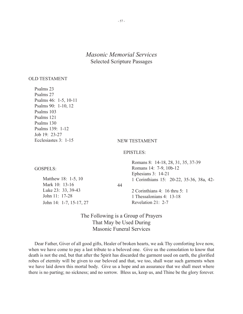## *Masonic Memorial Services* Selected Scripture Passages

#### OLD TESTAMENT

Psalms 23 Psalms 27 Psalms 46: 1-5, 10-11 Psalms 90: 1-10, 12 Psalms 103 Psalms 121 Psalms 130 Psalms 139: 1-12 Job 19: 23-27 Ecclesiastes 3: 1-15

#### NEW TESTAMENT

#### EPISTLES:

 Romans 8: 14-18, 28, 31, 35, 37-39 Romans 14: 7-9, 10b-12 Ephesians 3: 14-21 1 Corinthians 15: 20-22, 35-36, 38a, 42-

44

 2 Corinthians 4: 16 thru 5: 1 1 Thessalonians 4: 13-18 Revelation 21: 2-7

The Following is a Group of Prayers That May be Used During Masonic Funeral Services

Dear Father, Giver of all good gifts, Healer of broken hearts, we ask Thy comforting love now, when we have come to pay a last tribute to a beloved one. Give us the consolation to know that death is not the end, but that after the Spirit has discarded the garment used on earth, the glorified robes of eternity will be given to our beloved and that, we too, shall wear such garments when we have laid down this mortal body. Give us a hope and an assurance that we shall meet where there is no parting; no sickness; and no sorrow. Bless us, keep us, and Thine be the glory forever.

## GOSPELS:

 Matthew 18: 1-5, 10 Mark 10: 13-16 Luke 23: 33, 39-43 John 11: 17-28 John 14: 1-7, 15-17, 27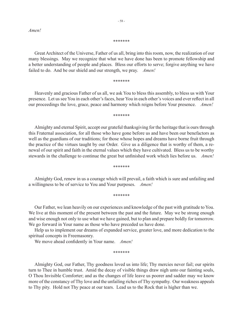*Amen!*

#### \*\*\*\*\*\*\*

Great Architect of the Universe, Father of us all, bring into this room, now, the realization of our many blessings. May we recognize that what we have done has been to promote fellowship and a better understanding of people and places. Bless our efforts to serve; forgive anything we have failed to do. And be our shield and our strength, we pray. *Amen!*

#### \*\*\*\*\*\*\*

Heavenly and gracious Father of us all, we ask You to bless this assembly, to bless us with Your presence. Let us see You in each other's faces, hear You in each other's voices and ever reflect in all our proceedings the love, grace, peace and harmony which reigns before Your presence. *Amen!*

#### \*\*\*\*\*\*\*

Almighty and eternal Spirit, accept our grateful thanksgiving for the heritage that is ours through this Fraternal association, for all those who have gone before us and have been our benefactors as well as the guardians of our traditions; for those whose hopes and dreams have borne fruit through the practice of the virtues taught by our Order. Give us a diligence that is worthy of them, a renewal of our spirit and faith in the eternal values which they have cultivated. Bless us to be worthy stewards in the challenge to continue the great but unfinished work which lies before us. *Amen!*

#### \*\*\*\*\*\*\*

Almighty God, renew in us a courage which will prevail, a faith which is sure and unfailing and a willingness to be of service to You and Your purposes. *Amen!*

#### \*\*\*\*\*\*\*

Our Father, we lean heavily on our experiences and knowledge of the past with gratitude to You. We live at this moment of the present between the past and the future. May we be strong enough and wise enough not only to use what we have gained, but to plan and prepare boldly for tomorrow. We go forward in Your name as those who have preceded us have done.

Help us to implement our dreams of expanded service, greater love, and more dedication to the spiritual concepts in Freemasonry.

We move ahead confidently in Your name. *Amen!*

#### \*\*\*\*\*\*\*

Almighty God, our Father, Thy goodness loved us into life; Thy mercies never fail; our spirits turn to Thee in humble trust. Amid the decay of visible things draw nigh unto our fainting souls, O Thou Invisible Comforter; and as the changes of life leave us poorer and sadder may we know more of the constancy of Thy love and the unfailing riches of Thy sympathy. Our weakness appeals to Thy pity. Hold not Thy peace at our tears. Lead us to the Rock that is higher than we.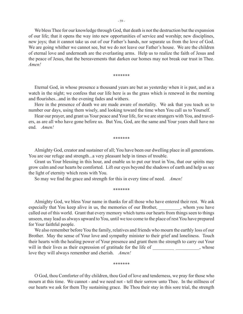We bless Thee for our knowledge through God, that death is not the destruction but the expansion of our life; that it opens the way into new opportunities of service and worship; new disciplines, new joys; that it cannot take us out of our Father's hands, nor separate us from the love of God. We are going whither we cannot see, but we do not leave our Father's house. We are the children of eternal love and underneath are the everlasting arms. Help us to realize the faith of Jesus and the peace of Jesus, that the bereavements that darken our homes may not break our trust in Thee. *Amen!*

\*\*\*\*\*\*\*

Eternal God, in whose presence a thousand years are but as yesterday when it is past, and as a watch in the night; we confess that our life here is as the grass which is renewed in the morning and flourishes...and in the evening fades and withers.

Here in the presence of death we are made aware of mortality. We ask that you teach us to number our days, using them wisely, and looking toward the time when You call us to Yourself.

Hear our prayer, and grant us Your peace and Your life, for we are strangers with You, and travelers, as are all who have gone before us. But You, God, are the same and Your years shall have no end. *Amen!*

\*\*\*\*\*\*\*

Almighty God, creator and sustainer of all; You have been our dwelling place in all generations. You are our refuge and strength...a very pleasant help in times of trouble.

Grant us Your blessing in this hour, and enable us to put our trust in You, that our spirits may grow calm and our hearts be comforted. Lift our eyes beyond the shadows of earth and help us see the light of eternity which rests with You.

So may we find the grace and strength for this in every time of need. *Amen!*

\*\*\*\*\*\*\*

Almighty God, we bless Your name in thanks for all those who have entered their rest. We ask especially that You keep alive in us, the memories of our Brother, whom you have called out of this world. Grant that every memory which turns our hearts from things seen to things unseen, may lead us always upward to You, until we too come to the place of rest You have prepared for Your faithful people.

We also remember before You the family, relatives and friends who mourn the earthly loss of our Brother. May the sense of Your love and sympathy minister to their grief and loneliness. Touch their hearts with the healing power of Your presence and grant them the strength to carry out Your will in their lives as their expression of gratitude for the life of  $\,$ , whose love they will always remember and cherish. *Amen!*

\*\*\*\*\*\*\*

O God, thou Comforter of thy children, thou God of love and tenderness, we pray for those who mourn at this time. We cannot - and we need not - tell their sorrow unto Thee. In the stillness of our hearts we ask for them Thy sustaining grace. Be Thou their stay in this sore trial, the strength